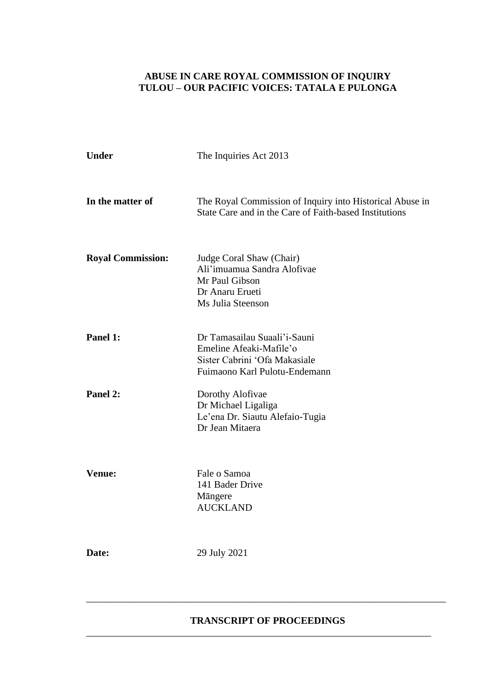### **ABUSE IN CARE ROYAL COMMISSION OF INQUIRY TULOU – OUR PACIFIC VOICES: TATALA E PULONGA**

| <b>Under</b>             | The Inquiries Act 2013                                                                                                    |
|--------------------------|---------------------------------------------------------------------------------------------------------------------------|
| In the matter of         | The Royal Commission of Inquiry into Historical Abuse in<br>State Care and in the Care of Faith-based Institutions        |
| <b>Royal Commission:</b> | Judge Coral Shaw (Chair)<br>Ali'imuamua Sandra Alofivae<br>Mr Paul Gibson<br>Dr Anaru Erueti<br>Ms Julia Steenson         |
| Panel 1:                 | Dr Tamasailau Suaali'i-Sauni<br>Emeline Afeaki-Mafile'o<br>Sister Cabrini 'Ofa Makasiale<br>Fuimaono Karl Pulotu-Endemann |
| Panel 2:                 | Dorothy Alofivae<br>Dr Michael Ligaliga<br>Le'ena Dr. Siautu Alefaio-Tugia<br>Dr Jean Mitaera                             |
| <b>Venue:</b>            | Fale o Samoa<br>141 Bader Drive<br>Mängere<br><b>AUCKLAND</b>                                                             |
| Date:                    | 29 July 2021                                                                                                              |

#### **TRANSCRIPT OF PROCEEDINGS**

\_\_\_\_\_\_\_\_\_\_\_\_\_\_\_\_\_\_\_\_\_\_\_\_\_\_\_\_\_\_\_\_\_\_\_\_\_\_\_\_\_\_\_\_\_\_\_\_\_\_\_\_\_\_\_\_\_\_\_\_\_\_\_\_\_\_\_\_\_\_

\_\_\_\_\_\_\_\_\_\_\_\_\_\_\_\_\_\_\_\_\_\_\_\_\_\_\_\_\_\_\_\_\_\_\_\_\_\_\_\_\_\_\_\_\_\_\_\_\_\_\_\_\_\_\_\_\_\_\_\_\_\_\_\_\_\_\_\_\_\_\_\_\_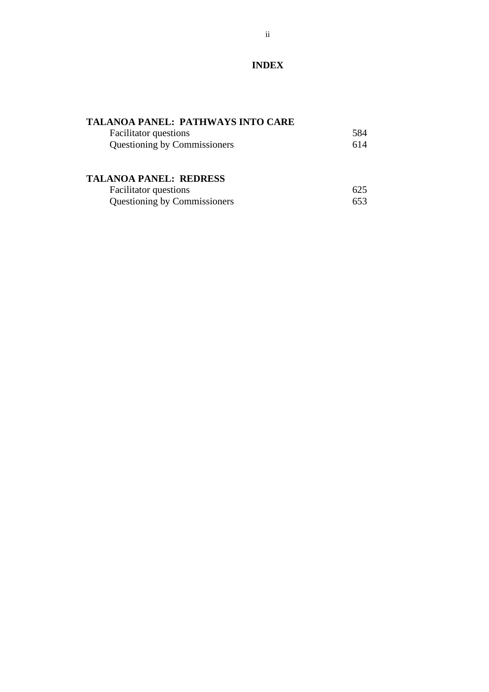## **INDEX**

## **TALANOA PANEL: PATHWAYS INTO CARE**

| <b>Facilitator</b> questions        | 584 |
|-------------------------------------|-----|
| <b>Questioning by Commissioners</b> | 614 |

## **TALANOA PANEL: REDRESS**

| <b>Facilitator</b> questions | 625 |
|------------------------------|-----|
| Questioning by Commissioners | 653 |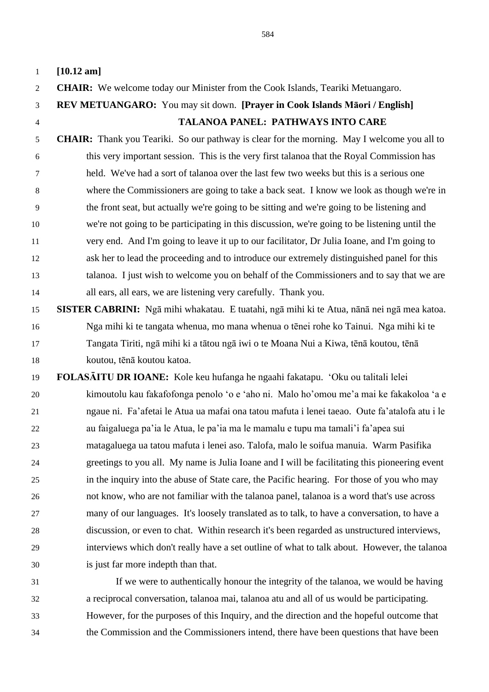**[10.12 am] CHAIR:** We welcome today our Minister from the Cook Islands, Teariki Metuangaro. **REV METUANGARO:** You may sit down. **[Prayer in Cook Islands Māori / English] TALANOA PANEL: PATHWAYS INTO CARE CHAIR:** Thank you Teariki. So our pathway is clear for the morning. May I welcome you all to this very important session. This is the very first talanoa that the Royal Commission has held. We've had a sort of talanoa over the last few two weeks but this is a serious one where the Commissioners are going to take a back seat. I know we look as though we're in the front seat, but actually we're going to be sitting and we're going to be listening and we're not going to be participating in this discussion, we're going to be listening until the very end. And I'm going to leave it up to our facilitator, Dr Julia Ioane, and I'm going to ask her to lead the proceeding and to introduce our extremely distinguished panel for this talanoa. I just wish to welcome you on behalf of the Commissioners and to say that we are all ears, all ears, we are listening very carefully. Thank you. **SISTER CABRINI:** Ngā mihi whakatau. E tuatahi, ngā mihi ki te Atua, nānā nei ngā mea katoa. Nga mihi ki te tangata whenua, mo mana whenua o tēnei rohe ko Tainui. Nga mihi ki te Tangata Tiriti, ngā mihi ki a tātou ngā iwi o te Moana Nui a Kiwa, tēnā koutou, tēnā koutou, tēnā koutou katoa. **FOLASĀITU DR IOANE:** Kole keu hufanga he ngaahi fakatapu. 'Oku ou talitali lelei kimoutolu kau fakafofonga penolo 'o e 'aho ni. Malo ho'omou me'a mai ke fakakoloa 'a e ngaue ni. Fa'afetai le Atua ua mafai ona tatou mafuta i lenei taeao. Oute fa'atalofa atu i le au faigaluega pa'ia le Atua, le pa'ia ma le mamalu e tupu ma tamali'i fa'apea sui matagaluega ua tatou mafuta i lenei aso. Talofa, malo le soifua manuia. Warm Pasifika greetings to you all. My name is Julia Ioane and I will be facilitating this pioneering event in the inquiry into the abuse of State care, the Pacific hearing. For those of you who may not know, who are not familiar with the talanoa panel, talanoa is a word that's use across many of our languages. It's loosely translated as to talk, to have a conversation, to have a discussion, or even to chat. Within research it's been regarded as unstructured interviews, interviews which don't really have a set outline of what to talk about. However, the talanoa is just far more indepth than that. If we were to authentically honour the integrity of the talanoa, we would be having

 a reciprocal conversation, talanoa mai, talanoa atu and all of us would be participating. However, for the purposes of this Inquiry, and the direction and the hopeful outcome that the Commission and the Commissioners intend, there have been questions that have been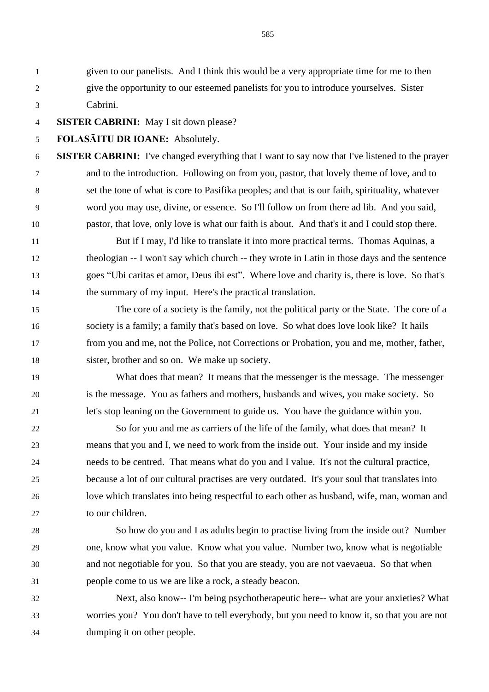given to our panelists. And I think this would be a very appropriate time for me to then give the opportunity to our esteemed panelists for you to introduce yourselves. Sister Cabrini.

**SISTER CABRINI:** May I sit down please?

**FOLASĀITU DR IOANE:** Absolutely.

 **SISTER CABRINI:** I've changed everything that I want to say now that I've listened to the prayer and to the introduction. Following on from you, pastor, that lovely theme of love, and to set the tone of what is core to Pasifika peoples; and that is our faith, spirituality, whatever word you may use, divine, or essence. So I'll follow on from there ad lib. And you said, pastor, that love, only love is what our faith is about. And that's it and I could stop there.

 But if I may, I'd like to translate it into more practical terms. Thomas Aquinas, a theologian -- I won't say which church -- they wrote in Latin in those days and the sentence goes "Ubi caritas et amor, Deus ibi est". Where love and charity is, there is love. So that's the summary of my input. Here's the practical translation.

 The core of a society is the family, not the political party or the State. The core of a society is a family; a family that's based on love. So what does love look like? It hails from you and me, not the Police, not Corrections or Probation, you and me, mother, father, sister, brother and so on. We make up society.

 What does that mean? It means that the messenger is the message. The messenger is the message. You as fathers and mothers, husbands and wives, you make society. So let's stop leaning on the Government to guide us. You have the guidance within you.

 So for you and me as carriers of the life of the family, what does that mean? It means that you and I, we need to work from the inside out. Your inside and my inside needs to be centred. That means what do you and I value. It's not the cultural practice, because a lot of our cultural practises are very outdated. It's your soul that translates into love which translates into being respectful to each other as husband, wife, man, woman and to our children.

 So how do you and I as adults begin to practise living from the inside out? Number one, know what you value. Know what you value. Number two, know what is negotiable and not negotiable for you. So that you are steady, you are not vaevaeua. So that when people come to us we are like a rock, a steady beacon.

 Next, also know-- I'm being psychotherapeutic here-- what are your anxieties? What worries you? You don't have to tell everybody, but you need to know it, so that you are not dumping it on other people.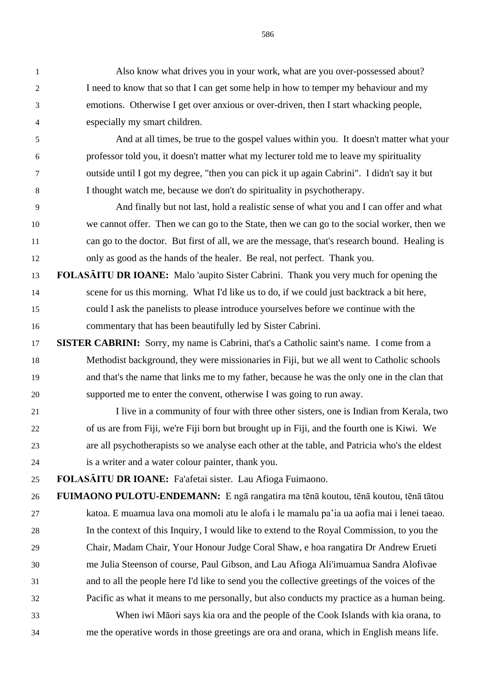Also know what drives you in your work, what are you over-possessed about? I need to know that so that I can get some help in how to temper my behaviour and my emotions. Otherwise I get over anxious or over-driven, then I start whacking people, especially my smart children.

 And at all times, be true to the gospel values within you. It doesn't matter what your professor told you, it doesn't matter what my lecturer told me to leave my spirituality outside until I got my degree, "then you can pick it up again Cabrini". I didn't say it but I thought watch me, because we don't do spirituality in psychotherapy.

 And finally but not last, hold a realistic sense of what you and I can offer and what we cannot offer. Then we can go to the State, then we can go to the social worker, then we can go to the doctor. But first of all, we are the message, that's research bound. Healing is only as good as the hands of the healer. Be real, not perfect. Thank you.

- **FOLASĀITU DR IOANE:** Malo 'aupito Sister Cabrini. Thank you very much for opening the scene for us this morning. What I'd like us to do, if we could just backtrack a bit here, could I ask the panelists to please introduce yourselves before we continue with the commentary that has been beautifully led by Sister Cabrini.
- **SISTER CABRINI:** Sorry, my name is Cabrini, that's a Catholic saint's name. I come from a Methodist background, they were missionaries in Fiji, but we all went to Catholic schools and that's the name that links me to my father, because he was the only one in the clan that supported me to enter the convent, otherwise I was going to run away.
- 21 I live in a community of four with three other sisters, one is Indian from Kerala, two of us are from Fiji, we're Fiji born but brought up in Fiji, and the fourth one is Kiwi. We are all psychotherapists so we analyse each other at the table, and Patricia who's the eldest is a writer and a water colour painter, thank you.

**FOLASĀITU DR IOANE:** Fa'afetai sister. Lau Afioga Fuimaono.

 **FUIMAONO PULOTU-ENDEMANN:** E ngā rangatira ma tēnā koutou, tēnā koutou, tēnā tātou katoa. E muamua lava ona momoli atu le alofa i le mamalu pa'ia ua aofia mai i lenei taeao. In the context of this Inquiry, I would like to extend to the Royal Commission, to you the Chair, Madam Chair, Your Honour Judge Coral Shaw, e hoa rangatira Dr Andrew Erueti me Julia Steenson of course, Paul Gibson, and Lau Afioga Ali'imuamua Sandra Alofivae and to all the people here I'd like to send you the collective greetings of the voices of the Pacific as what it means to me personally, but also conducts my practice as a human being.

 When iwi Māori says kia ora and the people of the Cook Islands with kia orana, to me the operative words in those greetings are ora and orana, which in English means life.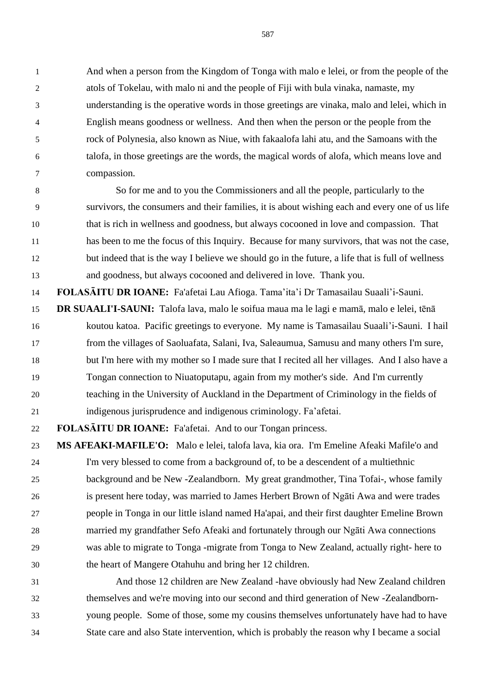And when a person from the Kingdom of Tonga with malo e lelei, or from the people of the atols of Tokelau, with malo ni and the people of Fiji with bula vinaka, namaste, my understanding is the operative words in those greetings are vinaka, malo and lelei, which in English means goodness or wellness. And then when the person or the people from the rock of Polynesia, also known as Niue, with fakaalofa lahi atu, and the Samoans with the talofa, in those greetings are the words, the magical words of alofa, which means love and compassion.

 So for me and to you the Commissioners and all the people, particularly to the survivors, the consumers and their families, it is about wishing each and every one of us life that is rich in wellness and goodness, but always cocooned in love and compassion. That has been to me the focus of this Inquiry. Because for many survivors, that was not the case, but indeed that is the way I believe we should go in the future, a life that is full of wellness and goodness, but always cocooned and delivered in love. Thank you.

**FOLASĀITU DR IOANE:** Fa'afetai Lau Afioga. Tama'ita'i Dr Tamasailau Suaali'i-Sauni.

 **DR SUAALI'I-SAUNI:** Talofa lava, malo le soifua maua ma le lagi e mamā, malo e lelei, tēnā koutou katoa. Pacific greetings to everyone. My name is Tamasailau Suaali'i-Sauni. I hail from the villages of Saoluafata, Salani, Iva, Saleaumua, Samusu and many others I'm sure, but I'm here with my mother so I made sure that I recited all her villages. And I also have a Tongan connection to Niuatoputapu, again from my mother's side. And I'm currently teaching in the University of Auckland in the Department of Criminology in the fields of indigenous jurisprudence and indigenous criminology. Fa'afetai.

**FOLASĀITU DR IOANE:** Fa'afetai. And to our Tongan princess.

 **MS AFEAKI-MAFILE'O:** Malo e lelei, talofa lava, kia ora. I'm Emeline Afeaki Mafile'o and I'm very blessed to come from a background of, to be a descendent of a multiethnic background and be New -Zealandborn. My great grandmother, Tina Tofai-, whose family is present here today, was married to James Herbert Brown of Ngāti Awa and were trades people in Tonga in our little island named Ha'apai, and their first daughter Emeline Brown married my grandfather Sefo Afeaki and fortunately through our Ngāti Awa connections was able to migrate to Tonga -migrate from Tonga to New Zealand, actually right- here to the heart of Mangere Otahuhu and bring her 12 children.

 And those 12 children are New Zealand -have obviously had New Zealand children themselves and we're moving into our second and third generation of New -Zealandborn- young people. Some of those, some my cousins themselves unfortunately have had to have State care and also State intervention, which is probably the reason why I became a social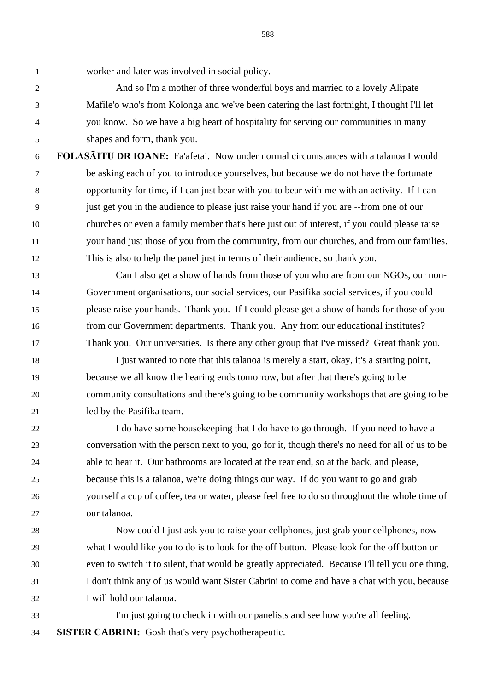worker and later was involved in social policy.

 And so I'm a mother of three wonderful boys and married to a lovely Alipate Mafile'o who's from Kolonga and we've been catering the last fortnight, I thought I'll let you know. So we have a big heart of hospitality for serving our communities in many shapes and form, thank you.

 **FOLASĀITU DR IOANE:** Fa'afetai. Now under normal circumstances with a talanoa I would be asking each of you to introduce yourselves, but because we do not have the fortunate opportunity for time, if I can just bear with you to bear with me with an activity. If I can just get you in the audience to please just raise your hand if you are --from one of our churches or even a family member that's here just out of interest, if you could please raise your hand just those of you from the community, from our churches, and from our families. This is also to help the panel just in terms of their audience, so thank you.

 Can I also get a show of hands from those of you who are from our NGOs, our non- Government organisations, our social services, our Pasifika social services, if you could please raise your hands. Thank you. If I could please get a show of hands for those of you from our Government departments. Thank you. Any from our educational institutes? Thank you. Our universities. Is there any other group that I've missed? Great thank you.

 I just wanted to note that this talanoa is merely a start, okay, it's a starting point, because we all know the hearing ends tomorrow, but after that there's going to be community consultations and there's going to be community workshops that are going to be led by the Pasifika team.

 I do have some housekeeping that I do have to go through. If you need to have a conversation with the person next to you, go for it, though there's no need for all of us to be able to hear it. Our bathrooms are located at the rear end, so at the back, and please, because this is a talanoa, we're doing things our way. If do you want to go and grab yourself a cup of coffee, tea or water, please feel free to do so throughout the whole time of our talanoa.

 Now could I just ask you to raise your cellphones, just grab your cellphones, now what I would like you to do is to look for the off button. Please look for the off button or even to switch it to silent, that would be greatly appreciated. Because I'll tell you one thing, I don't think any of us would want Sister Cabrini to come and have a chat with you, because I will hold our talanoa.

 I'm just going to check in with our panelists and see how you're all feeling. **SISTER CABRINI:** Gosh that's very psychotherapeutic.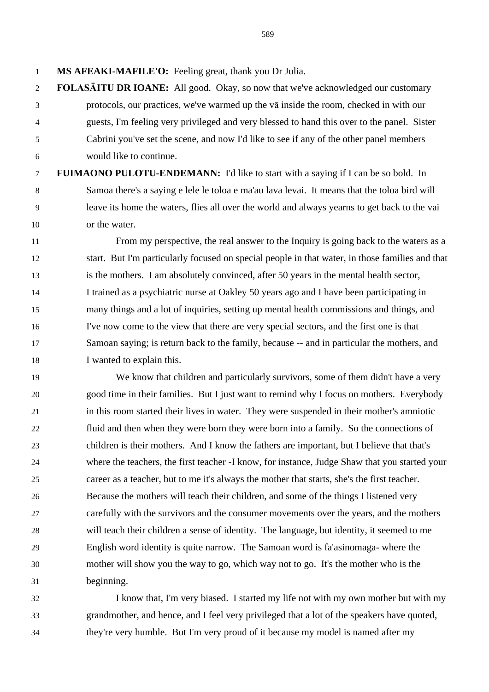**MS AFEAKI-MAFILE'O:** Feeling great, thank you Dr Julia.

 **FOLASĀITU DR IOANE:** All good. Okay, so now that we've acknowledged our customary protocols, our practices, we've warmed up the vā inside the room, checked in with our guests, I'm feeling very privileged and very blessed to hand this over to the panel. Sister Cabrini you've set the scene, and now I'd like to see if any of the other panel members would like to continue.

 **FUIMAONO PULOTU-ENDEMANN:** I'd like to start with a saying if I can be so bold. In Samoa there's a saying e lele le toloa e ma'au lava levai. It means that the toloa bird will leave its home the waters, flies all over the world and always yearns to get back to the vai or the water.

 From my perspective, the real answer to the Inquiry is going back to the waters as a start. But I'm particularly focused on special people in that water, in those families and that is the mothers. I am absolutely convinced, after 50 years in the mental health sector, I trained as a psychiatric nurse at Oakley 50 years ago and I have been participating in many things and a lot of inquiries, setting up mental health commissions and things, and I've now come to the view that there are very special sectors, and the first one is that Samoan saying; is return back to the family, because -- and in particular the mothers, and I wanted to explain this.

 We know that children and particularly survivors, some of them didn't have a very good time in their families. But I just want to remind why I focus on mothers. Everybody in this room started their lives in water. They were suspended in their mother's amniotic fluid and then when they were born they were born into a family. So the connections of children is their mothers. And I know the fathers are important, but I believe that that's where the teachers, the first teacher -I know, for instance, Judge Shaw that you started your career as a teacher, but to me it's always the mother that starts, she's the first teacher. Because the mothers will teach their children, and some of the things I listened very carefully with the survivors and the consumer movements over the years, and the mothers will teach their children a sense of identity. The language, but identity, it seemed to me English word identity is quite narrow. The Samoan word is fa'asinomaga- where the mother will show you the way to go, which way not to go. It's the mother who is the beginning.

 I know that, I'm very biased. I started my life not with my own mother but with my grandmother, and hence, and I feel very privileged that a lot of the speakers have quoted, they're very humble. But I'm very proud of it because my model is named after my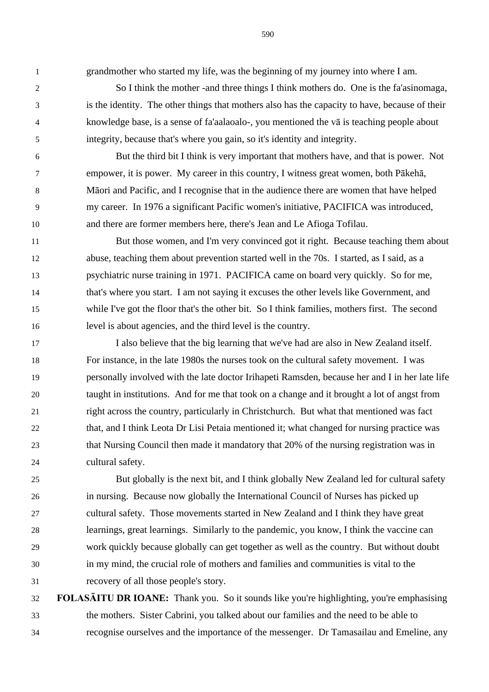grandmother who started my life, was the beginning of my journey into where I am.

 So I think the mother -and three things I think mothers do. One is the fa'asinomaga, is the identity. The other things that mothers also has the capacity to have, because of their knowledge base, is a sense of fa'aalaoalo-, you mentioned the vā is teaching people about integrity, because that's where you gain, so it's identity and integrity.

 But the third bit I think is very important that mothers have, and that is power. Not empower, it is power. My career in this country, I witness great women, both Pākehā, Māori and Pacific, and I recognise that in the audience there are women that have helped my career. In 1976 a significant Pacific women's initiative, PACIFICA was introduced, and there are former members here, there's Jean and Le Afioga Tofilau.

 But those women, and I'm very convinced got it right. Because teaching them about abuse, teaching them about prevention started well in the 70s. I started, as I said, as a psychiatric nurse training in 1971. PACIFICA came on board very quickly. So for me, that's where you start. I am not saying it excuses the other levels like Government, and while I've got the floor that's the other bit. So I think families, mothers first. The second level is about agencies, and the third level is the country.

 I also believe that the big learning that we've had are also in New Zealand itself. For instance, in the late 1980s the nurses took on the cultural safety movement. I was personally involved with the late doctor Irihapeti Ramsden, because her and I in her late life taught in institutions. And for me that took on a change and it brought a lot of angst from right across the country, particularly in Christchurch. But what that mentioned was fact that, and I think Leota Dr Lisi Petaia mentioned it; what changed for nursing practice was that Nursing Council then made it mandatory that 20% of the nursing registration was in cultural safety.

 But globally is the next bit, and I think globally New Zealand led for cultural safety in nursing. Because now globally the International Council of Nurses has picked up cultural safety. Those movements started in New Zealand and I think they have great learnings, great learnings. Similarly to the pandemic, you know, I think the vaccine can work quickly because globally can get together as well as the country. But without doubt in my mind, the crucial role of mothers and families and communities is vital to the recovery of all those people's story.

 **FOLASĀITU DR IOANE:** Thank you. So it sounds like you're highlighting, you're emphasising the mothers. Sister Cabrini, you talked about our families and the need to be able to recognise ourselves and the importance of the messenger. Dr Tamasailau and Emeline, any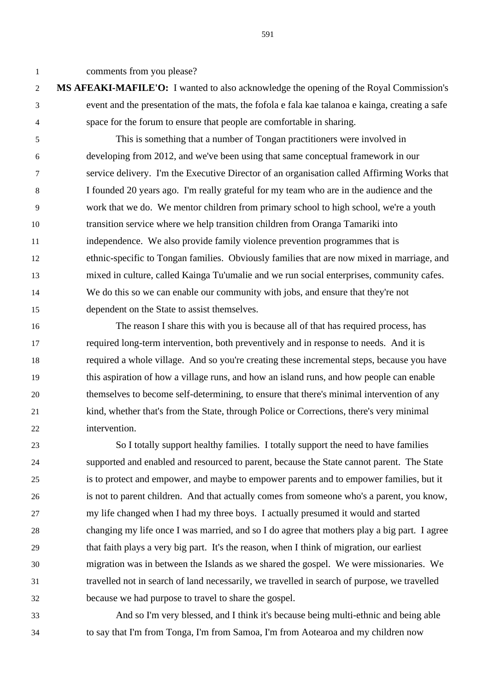comments from you please?

 **MS AFEAKI-MAFILE'O:** I wanted to also acknowledge the opening of the Royal Commission's event and the presentation of the mats, the fofola e fala kae talanoa e kainga, creating a safe space for the forum to ensure that people are comfortable in sharing.

 This is something that a number of Tongan practitioners were involved in developing from 2012, and we've been using that same conceptual framework in our service delivery. I'm the Executive Director of an organisation called Affirming Works that I founded 20 years ago. I'm really grateful for my team who are in the audience and the work that we do. We mentor children from primary school to high school, we're a youth transition service where we help transition children from Oranga Tamariki into independence. We also provide family violence prevention programmes that is ethnic-specific to Tongan families. Obviously families that are now mixed in marriage, and mixed in culture, called Kainga Tu'umalie and we run social enterprises, community cafes. We do this so we can enable our community with jobs, and ensure that they're not dependent on the State to assist themselves.

 The reason I share this with you is because all of that has required process, has required long-term intervention, both preventively and in response to needs. And it is required a whole village. And so you're creating these incremental steps, because you have this aspiration of how a village runs, and how an island runs, and how people can enable themselves to become self-determining, to ensure that there's minimal intervention of any kind, whether that's from the State, through Police or Corrections, there's very minimal intervention.

 So I totally support healthy families. I totally support the need to have families supported and enabled and resourced to parent, because the State cannot parent. The State is to protect and empower, and maybe to empower parents and to empower families, but it is not to parent children. And that actually comes from someone who's a parent, you know, my life changed when I had my three boys. I actually presumed it would and started changing my life once I was married, and so I do agree that mothers play a big part. I agree that faith plays a very big part. It's the reason, when I think of migration, our earliest migration was in between the Islands as we shared the gospel. We were missionaries. We travelled not in search of land necessarily, we travelled in search of purpose, we travelled because we had purpose to travel to share the gospel.

 And so I'm very blessed, and I think it's because being multi-ethnic and being able to say that I'm from Tonga, I'm from Samoa, I'm from Aotearoa and my children now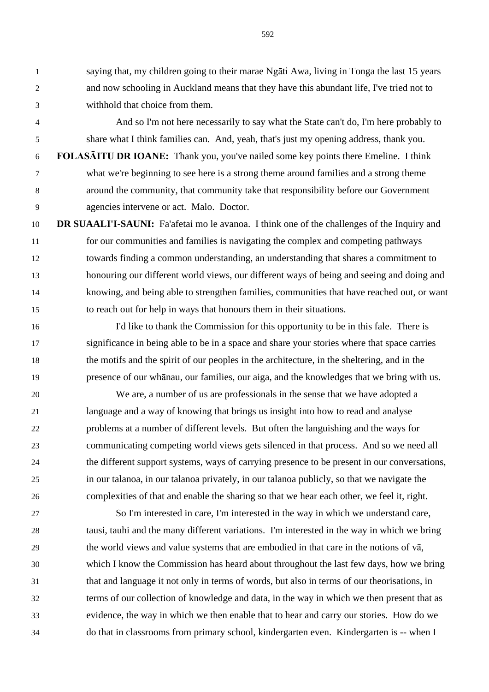saying that, my children going to their marae Ngāti Awa, living in Tonga the last 15 years and now schooling in Auckland means that they have this abundant life, I've tried not to withhold that choice from them.

 And so I'm not here necessarily to say what the State can't do, I'm here probably to share what I think families can. And, yeah, that's just my opening address, thank you.

 **FOLASĀITU DR IOANE:** Thank you, you've nailed some key points there Emeline. I think what we're beginning to see here is a strong theme around families and a strong theme around the community, that community take that responsibility before our Government agencies intervene or act. Malo. Doctor.

 **DR SUAALI'I-SAUNI:** Fa'afetai mo le avanoa. I think one of the challenges of the Inquiry and for our communities and families is navigating the complex and competing pathways towards finding a common understanding, an understanding that shares a commitment to honouring our different world views, our different ways of being and seeing and doing and knowing, and being able to strengthen families, communities that have reached out, or want to reach out for help in ways that honours them in their situations.

 I'd like to thank the Commission for this opportunity to be in this fale. There is significance in being able to be in a space and share your stories where that space carries the motifs and the spirit of our peoples in the architecture, in the sheltering, and in the presence of our whānau, our families, our aiga, and the knowledges that we bring with us.

 We are, a number of us are professionals in the sense that we have adopted a language and a way of knowing that brings us insight into how to read and analyse problems at a number of different levels. But often the languishing and the ways for communicating competing world views gets silenced in that process. And so we need all the different support systems, ways of carrying presence to be present in our conversations, in our talanoa, in our talanoa privately, in our talanoa publicly, so that we navigate the complexities of that and enable the sharing so that we hear each other, we feel it, right.

 So I'm interested in care, I'm interested in the way in which we understand care, tausi, tauhi and the many different variations. I'm interested in the way in which we bring the world views and value systems that are embodied in that care in the notions of vā, which I know the Commission has heard about throughout the last few days, how we bring that and language it not only in terms of words, but also in terms of our theorisations, in terms of our collection of knowledge and data, in the way in which we then present that as evidence, the way in which we then enable that to hear and carry our stories. How do we do that in classrooms from primary school, kindergarten even. Kindergarten is -- when I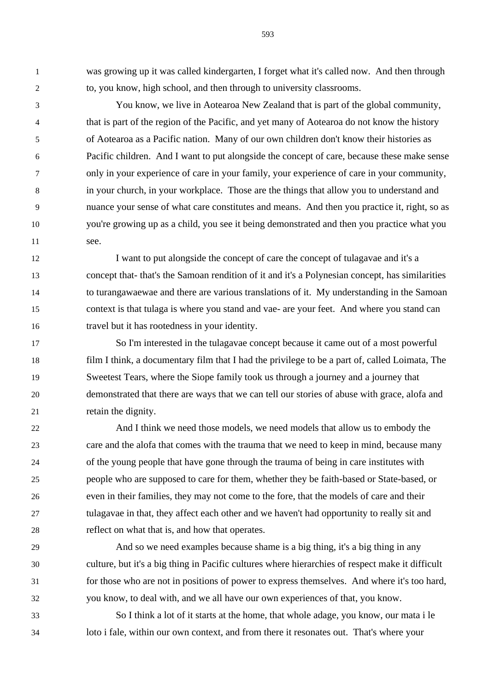was growing up it was called kindergarten, I forget what it's called now. And then through to, you know, high school, and then through to university classrooms.

 You know, we live in Aotearoa New Zealand that is part of the global community, that is part of the region of the Pacific, and yet many of Aotearoa do not know the history of Aotearoa as a Pacific nation. Many of our own children don't know their histories as Pacific children. And I want to put alongside the concept of care, because these make sense only in your experience of care in your family, your experience of care in your community, in your church, in your workplace. Those are the things that allow you to understand and nuance your sense of what care constitutes and means. And then you practice it, right, so as you're growing up as a child, you see it being demonstrated and then you practice what you see.

 I want to put alongside the concept of care the concept of tulagavae and it's a concept that- that's the Samoan rendition of it and it's a Polynesian concept, has similarities to turangawaewae and there are various translations of it. My understanding in the Samoan context is that tulaga is where you stand and vae- are your feet. And where you stand can travel but it has rootedness in your identity.

 So I'm interested in the tulagavae concept because it came out of a most powerful film I think, a documentary film that I had the privilege to be a part of, called Loimata, The Sweetest Tears, where the Siope family took us through a journey and a journey that demonstrated that there are ways that we can tell our stories of abuse with grace, alofa and 21 retain the dignity.

 And I think we need those models, we need models that allow us to embody the care and the alofa that comes with the trauma that we need to keep in mind, because many of the young people that have gone through the trauma of being in care institutes with people who are supposed to care for them, whether they be faith-based or State-based, or even in their families, they may not come to the fore, that the models of care and their tulagavae in that, they affect each other and we haven't had opportunity to really sit and reflect on what that is, and how that operates.

 And so we need examples because shame is a big thing, it's a big thing in any culture, but it's a big thing in Pacific cultures where hierarchies of respect make it difficult for those who are not in positions of power to express themselves. And where it's too hard, you know, to deal with, and we all have our own experiences of that, you know.

 So I think a lot of it starts at the home, that whole adage, you know, our mata i le loto i fale, within our own context, and from there it resonates out. That's where your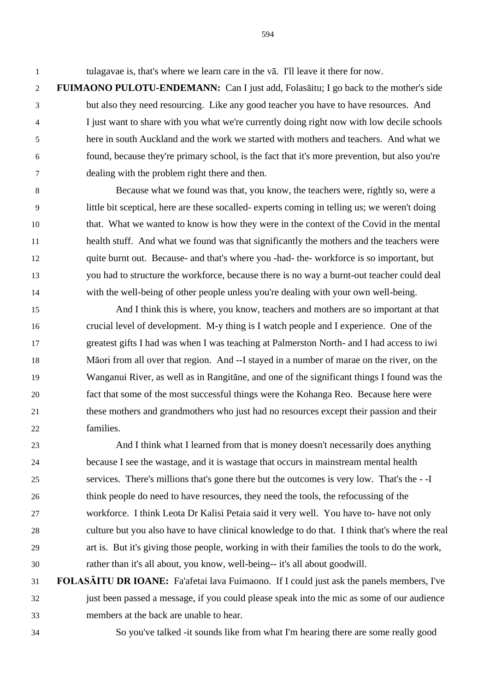tulagavae is, that's where we learn care in the vā. I'll leave it there for now.

 **FUIMAONO PULOTU-ENDEMANN:** Can I just add, Folasāitu; I go back to the mother's side but also they need resourcing. Like any good teacher you have to have resources. And I just want to share with you what we're currently doing right now with low decile schools here in south Auckland and the work we started with mothers and teachers. And what we found, because they're primary school, is the fact that it's more prevention, but also you're dealing with the problem right there and then.

 Because what we found was that, you know, the teachers were, rightly so, were a little bit sceptical, here are these socalled- experts coming in telling us; we weren't doing that. What we wanted to know is how they were in the context of the Covid in the mental health stuff. And what we found was that significantly the mothers and the teachers were quite burnt out. Because- and that's where you -had- the- workforce is so important, but you had to structure the workforce, because there is no way a burnt-out teacher could deal with the well-being of other people unless you're dealing with your own well-being.

 And I think this is where, you know, teachers and mothers are so important at that crucial level of development. M-y thing is I watch people and I experience. One of the greatest gifts I had was when I was teaching at Palmerston North- and I had access to iwi Māori from all over that region. And --I stayed in a number of marae on the river, on the Wanganui River, as well as in Rangitāne, and one of the significant things I found was the fact that some of the most successful things were the Kohanga Reo. Because here were these mothers and grandmothers who just had no resources except their passion and their families.

 And I think what I learned from that is money doesn't necessarily does anything because I see the wastage, and it is wastage that occurs in mainstream mental health services. There's millions that's gone there but the outcomes is very low. That's the - -I think people do need to have resources, they need the tools, the refocussing of the workforce. I think Leota Dr Kalisi Petaia said it very well. You have to- have not only culture but you also have to have clinical knowledge to do that. I think that's where the real art is. But it's giving those people, working in with their families the tools to do the work, rather than it's all about, you know, well-being-- it's all about goodwill.

- **FOLASĀITU DR IOANE:** Fa'afetai lava Fuimaono. If I could just ask the panels members, I've just been passed a message, if you could please speak into the mic as some of our audience members at the back are unable to hear.
- So you've talked -it sounds like from what I'm hearing there are some really good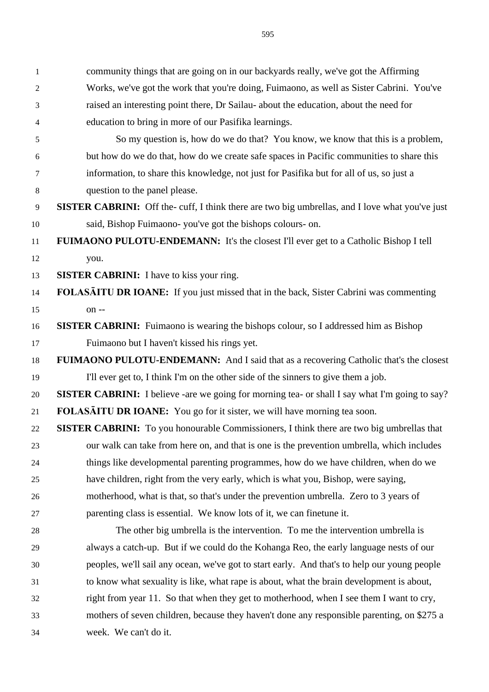community things that are going on in our backyards really, we've got the Affirming Works, we've got the work that you're doing, Fuimaono, as well as Sister Cabrini. You've raised an interesting point there, Dr Sailau- about the education, about the need for education to bring in more of our Pasifika learnings. So my question is, how do we do that? You know, we know that this is a problem, but how do we do that, how do we create safe spaces in Pacific communities to share this information, to share this knowledge, not just for Pasifika but for all of us, so just a question to the panel please. **SISTER CABRINI:** Off the- cuff, I think there are two big umbrellas, and I love what you've just said, Bishop Fuimaono- you've got the bishops colours- on. **FUIMAONO PULOTU-ENDEMANN:** It's the closest I'll ever get to a Catholic Bishop I tell you. **SISTER CABRINI:** I have to kiss your ring. **FOLASĀITU DR IOANE:** If you just missed that in the back, Sister Cabrini was commenting on -- **SISTER CABRINI:** Fuimaono is wearing the bishops colour, so I addressed him as Bishop Fuimaono but I haven't kissed his rings yet. **FUIMAONO PULOTU-ENDEMANN:** And I said that as a recovering Catholic that's the closest I'll ever get to, I think I'm on the other side of the sinners to give them a job. **SISTER CABRINI:** I believe -are we going for morning tea- or shall I say what I'm going to say? **FOLASĀITU DR IOANE:** You go for it sister, we will have morning tea soon. **SISTER CABRINI:** To you honourable Commissioners, I think there are two big umbrellas that our walk can take from here on, and that is one is the prevention umbrella, which includes things like developmental parenting programmes, how do we have children, when do we have children, right from the very early, which is what you, Bishop, were saying, motherhood, what is that, so that's under the prevention umbrella. Zero to 3 years of parenting class is essential. We know lots of it, we can finetune it. The other big umbrella is the intervention. To me the intervention umbrella is always a catch-up. But if we could do the Kohanga Reo, the early language nests of our peoples, we'll sail any ocean, we've got to start early. And that's to help our young people to know what sexuality is like, what rape is about, what the brain development is about, right from year 11. So that when they get to motherhood, when I see them I want to cry, mothers of seven children, because they haven't done any responsible parenting, on \$275 a week. We can't do it.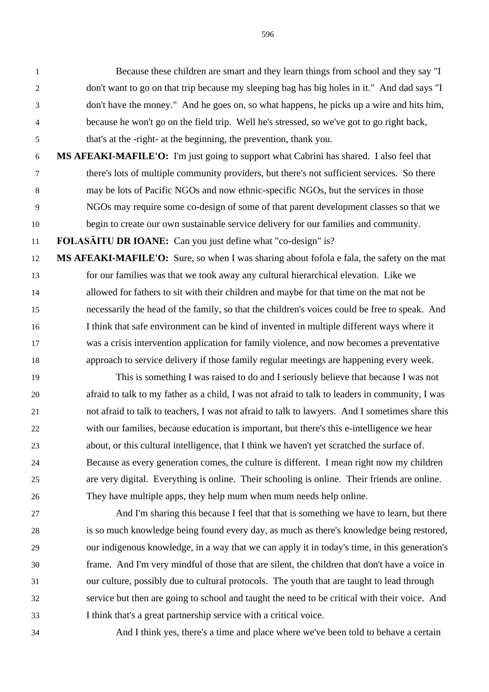Because these children are smart and they learn things from school and they say "I don't want to go on that trip because my sleeping bag has big holes in it." And dad says "I don't have the money." And he goes on, so what happens, he picks up a wire and hits him, because he won't go on the field trip. Well he's stressed, so we've got to go right back, that's at the -right- at the beginning, the prevention, thank you.

 **MS AFEAKI-MAFILE'O:** I'm just going to support what Cabrini has shared. I also feel that there's lots of multiple community providers, but there's not sufficient services. So there may be lots of Pacific NGOs and now ethnic-specific NGOs, but the services in those NGOs may require some co-design of some of that parent development classes so that we begin to create our own sustainable service delivery for our families and community.

**FOLASĀITU DR IOANE:** Can you just define what "co-design" is?

 **MS AFEAKI-MAFILE'O:** Sure, so when I was sharing about fofola e fala, the safety on the mat for our families was that we took away any cultural hierarchical elevation. Like we allowed for fathers to sit with their children and maybe for that time on the mat not be necessarily the head of the family, so that the children's voices could be free to speak. And I think that safe environment can be kind of invented in multiple different ways where it was a crisis intervention application for family violence, and now becomes a preventative approach to service delivery if those family regular meetings are happening every week.

 This is something I was raised to do and I seriously believe that because I was not afraid to talk to my father as a child, I was not afraid to talk to leaders in community, I was not afraid to talk to teachers, I was not afraid to talk to lawyers. And I sometimes share this with our families, because education is important, but there's this e-intelligence we hear about, or this cultural intelligence, that I think we haven't yet scratched the surface of. Because as every generation comes, the culture is different. I mean right now my children are very digital. Everything is online. Their schooling is online. Their friends are online. They have multiple apps, they help mum when mum needs help online.

 And I'm sharing this because I feel that that is something we have to learn, but there is so much knowledge being found every day, as much as there's knowledge being restored, our indigenous knowledge, in a way that we can apply it in today's time, in this generation's frame. And I'm very mindful of those that are silent, the children that don't have a voice in our culture, possibly due to cultural protocols. The youth that are taught to lead through service but then are going to school and taught the need to be critical with their voice. And I think that's a great partnership service with a critical voice.

And I think yes, there's a time and place where we've been told to behave a certain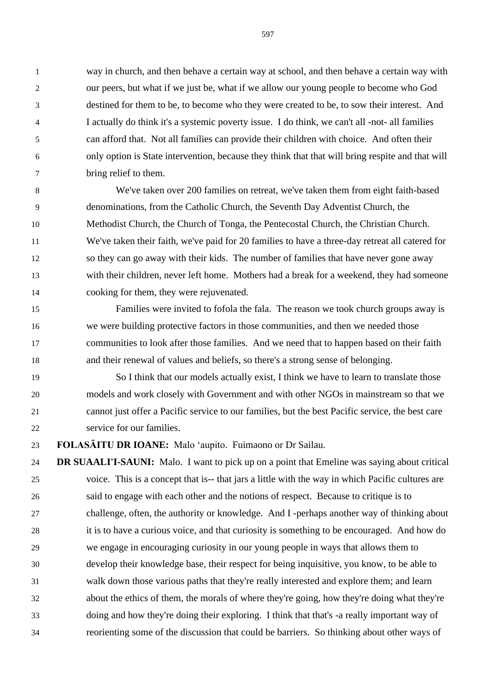way in church, and then behave a certain way at school, and then behave a certain way with our peers, but what if we just be, what if we allow our young people to become who God destined for them to be, to become who they were created to be, to sow their interest. And I actually do think it's a systemic poverty issue. I do think, we can't all -not- all families can afford that. Not all families can provide their children with choice. And often their only option is State intervention, because they think that that will bring respite and that will bring relief to them.

 We've taken over 200 families on retreat, we've taken them from eight faith-based denominations, from the Catholic Church, the Seventh Day Adventist Church, the Methodist Church, the Church of Tonga, the Pentecostal Church, the Christian Church. We've taken their faith, we've paid for 20 families to have a three-day retreat all catered for so they can go away with their kids. The number of families that have never gone away with their children, never left home. Mothers had a break for a weekend, they had someone cooking for them, they were rejuvenated.

 Families were invited to fofola the fala. The reason we took church groups away is we were building protective factors in those communities, and then we needed those communities to look after those families. And we need that to happen based on their faith and their renewal of values and beliefs, so there's a strong sense of belonging.

 So I think that our models actually exist, I think we have to learn to translate those models and work closely with Government and with other NGOs in mainstream so that we cannot just offer a Pacific service to our families, but the best Pacific service, the best care service for our families.

**FOLASĀITU DR IOANE:** Malo 'aupito. Fuimaono or Dr Sailau.

 **DR SUAALI'I-SAUNI:** Malo. I want to pick up on a point that Emeline was saying about critical voice. This is a concept that is-- that jars a little with the way in which Pacific cultures are said to engage with each other and the notions of respect. Because to critique is to challenge, often, the authority or knowledge. And I -perhaps another way of thinking about it is to have a curious voice, and that curiosity is something to be encouraged. And how do we engage in encouraging curiosity in our young people in ways that allows them to develop their knowledge base, their respect for being inquisitive, you know, to be able to walk down those various paths that they're really interested and explore them; and learn about the ethics of them, the morals of where they're going, how they're doing what they're doing and how they're doing their exploring. I think that that's -a really important way of reorienting some of the discussion that could be barriers. So thinking about other ways of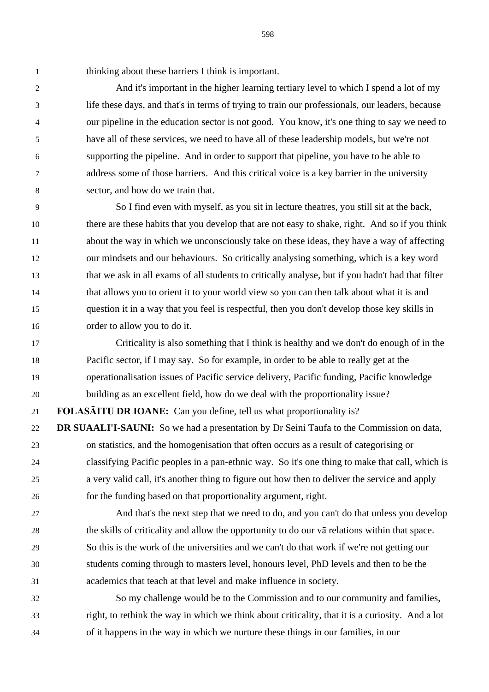thinking about these barriers I think is important.

2 2 And it's important in the higher learning tertiary level to which I spend a lot of my life these days, and that's in terms of trying to train our professionals, our leaders, because our pipeline in the education sector is not good. You know, it's one thing to say we need to have all of these services, we need to have all of these leadership models, but we're not supporting the pipeline. And in order to support that pipeline, you have to be able to address some of those barriers. And this critical voice is a key barrier in the university sector, and how do we train that.

 So I find even with myself, as you sit in lecture theatres, you still sit at the back, there are these habits that you develop that are not easy to shake, right. And so if you think about the way in which we unconsciously take on these ideas, they have a way of affecting our mindsets and our behaviours. So critically analysing something, which is a key word that we ask in all exams of all students to critically analyse, but if you hadn't had that filter that allows you to orient it to your world view so you can then talk about what it is and question it in a way that you feel is respectful, then you don't develop those key skills in order to allow you to do it.

 Criticality is also something that I think is healthy and we don't do enough of in the Pacific sector, if I may say. So for example, in order to be able to really get at the operationalisation issues of Pacific service delivery, Pacific funding, Pacific knowledge building as an excellent field, how do we deal with the proportionality issue? **FOLASĀITU DR IOANE:** Can you define, tell us what proportionality is? **DR SUAALI'I-SAUNI:** So we had a presentation by Dr Seini Taufa to the Commission on data,

 on statistics, and the homogenisation that often occurs as a result of categorising or classifying Pacific peoples in a pan-ethnic way. So it's one thing to make that call, which is a very valid call, it's another thing to figure out how then to deliver the service and apply for the funding based on that proportionality argument, right.

 And that's the next step that we need to do, and you can't do that unless you develop the skills of criticality and allow the opportunity to do our vā relations within that space. So this is the work of the universities and we can't do that work if we're not getting our students coming through to masters level, honours level, PhD levels and then to be the academics that teach at that level and make influence in society.

 So my challenge would be to the Commission and to our community and families, right, to rethink the way in which we think about criticality, that it is a curiosity. And a lot of it happens in the way in which we nurture these things in our families, in our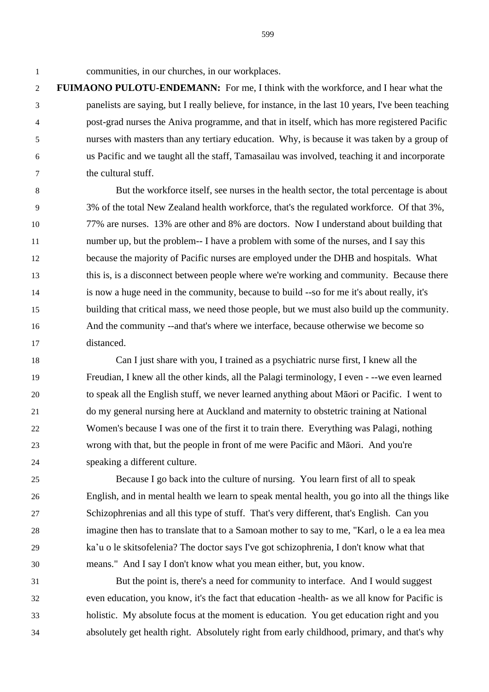communities, in our churches, in our workplaces.

 **FUIMAONO PULOTU-ENDEMANN:** For me, I think with the workforce, and I hear what the panelists are saying, but I really believe, for instance, in the last 10 years, I've been teaching post-grad nurses the Aniva programme, and that in itself, which has more registered Pacific nurses with masters than any tertiary education. Why, is because it was taken by a group of us Pacific and we taught all the staff, Tamasailau was involved, teaching it and incorporate the cultural stuff.

 But the workforce itself, see nurses in the health sector, the total percentage is about 3% of the total New Zealand health workforce, that's the regulated workforce. Of that 3%, 77% are nurses. 13% are other and 8% are doctors. Now I understand about building that number up, but the problem-- I have a problem with some of the nurses, and I say this because the majority of Pacific nurses are employed under the DHB and hospitals. What this is, is a disconnect between people where we're working and community. Because there is now a huge need in the community, because to build --so for me it's about really, it's building that critical mass, we need those people, but we must also build up the community. And the community --and that's where we interface, because otherwise we become so distanced.

 Can I just share with you, I trained as a psychiatric nurse first, I knew all the Freudian, I knew all the other kinds, all the Palagi terminology, I even - --we even learned to speak all the English stuff, we never learned anything about Māori or Pacific. I went to do my general nursing here at Auckland and maternity to obstetric training at National Women's because I was one of the first it to train there. Everything was Palagi, nothing wrong with that, but the people in front of me were Pacific and Māori. And you're speaking a different culture.

 Because I go back into the culture of nursing. You learn first of all to speak English, and in mental health we learn to speak mental health, you go into all the things like Schizophrenias and all this type of stuff. That's very different, that's English. Can you imagine then has to translate that to a Samoan mother to say to me, "Karl, o le a ea lea mea ka'u o le skitsofelenia? The doctor says I've got schizophrenia, I don't know what that means." And I say I don't know what you mean either, but, you know.

 But the point is, there's a need for community to interface. And I would suggest even education, you know, it's the fact that education -health- as we all know for Pacific is holistic. My absolute focus at the moment is education. You get education right and you absolutely get health right. Absolutely right from early childhood, primary, and that's why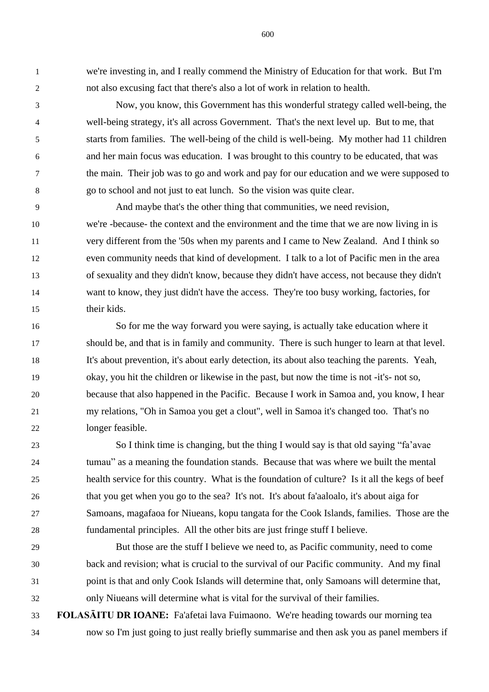we're investing in, and I really commend the Ministry of Education for that work. But I'm not also excusing fact that there's also a lot of work in relation to health.

 Now, you know, this Government has this wonderful strategy called well-being, the well-being strategy, it's all across Government. That's the next level up. But to me, that starts from families. The well-being of the child is well-being. My mother had 11 children and her main focus was education. I was brought to this country to be educated, that was the main. Their job was to go and work and pay for our education and we were supposed to go to school and not just to eat lunch. So the vision was quite clear.

 And maybe that's the other thing that communities, we need revision, we're -because- the context and the environment and the time that we are now living in is very different from the '50s when my parents and I came to New Zealand. And I think so even community needs that kind of development. I talk to a lot of Pacific men in the area of sexuality and they didn't know, because they didn't have access, not because they didn't want to know, they just didn't have the access. They're too busy working, factories, for their kids.

 So for me the way forward you were saying, is actually take education where it should be, and that is in family and community. There is such hunger to learn at that level. It's about prevention, it's about early detection, its about also teaching the parents. Yeah, okay, you hit the children or likewise in the past, but now the time is not -it's- not so, because that also happened in the Pacific. Because I work in Samoa and, you know, I hear my relations, "Oh in Samoa you get a clout", well in Samoa it's changed too. That's no longer feasible.

 So I think time is changing, but the thing I would say is that old saying "fa'avae tumau" as a meaning the foundation stands. Because that was where we built the mental health service for this country. What is the foundation of culture? Is it all the kegs of beef that you get when you go to the sea? It's not. It's about fa'aaloalo, it's about aiga for Samoans, magafaoa for Niueans, kopu tangata for the Cook Islands, families. Those are the fundamental principles. All the other bits are just fringe stuff I believe.

 But those are the stuff I believe we need to, as Pacific community, need to come back and revision; what is crucial to the survival of our Pacific community. And my final point is that and only Cook Islands will determine that, only Samoans will determine that, only Niueans will determine what is vital for the survival of their families.

 **FOLASĀITU DR IOANE:** Fa'afetai lava Fuimaono. We're heading towards our morning tea now so I'm just going to just really briefly summarise and then ask you as panel members if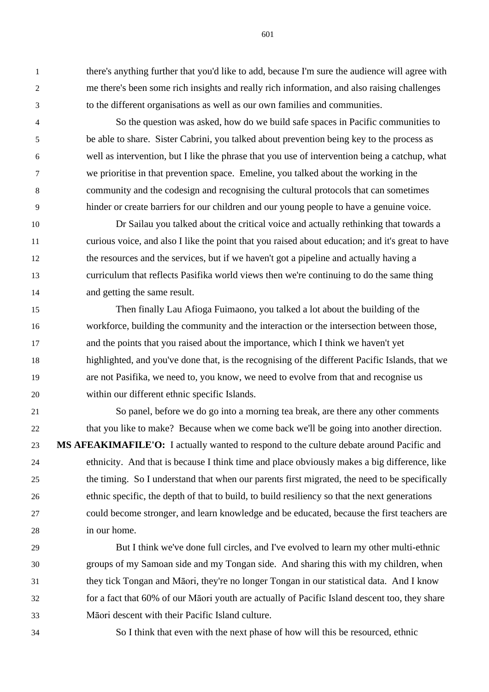there's anything further that you'd like to add, because I'm sure the audience will agree with me there's been some rich insights and really rich information, and also raising challenges to the different organisations as well as our own families and communities.

 So the question was asked, how do we build safe spaces in Pacific communities to be able to share. Sister Cabrini, you talked about prevention being key to the process as well as intervention, but I like the phrase that you use of intervention being a catchup, what we prioritise in that prevention space. Emeline, you talked about the working in the community and the codesign and recognising the cultural protocols that can sometimes hinder or create barriers for our children and our young people to have a genuine voice.

 Dr Sailau you talked about the critical voice and actually rethinking that towards a curious voice, and also I like the point that you raised about education; and it's great to have the resources and the services, but if we haven't got a pipeline and actually having a curriculum that reflects Pasifika world views then we're continuing to do the same thing and getting the same result.

 Then finally Lau Afioga Fuimaono, you talked a lot about the building of the workforce, building the community and the interaction or the intersection between those, and the points that you raised about the importance, which I think we haven't yet highlighted, and you've done that, is the recognising of the different Pacific Islands, that we are not Pasifika, we need to, you know, we need to evolve from that and recognise us within our different ethnic specific Islands.

 So panel, before we do go into a morning tea break, are there any other comments that you like to make? Because when we come back we'll be going into another direction. **MS AFEAKIMAFILE'O:** I actually wanted to respond to the culture debate around Pacific and ethnicity. And that is because I think time and place obviously makes a big difference, like the timing. So I understand that when our parents first migrated, the need to be specifically ethnic specific, the depth of that to build, to build resiliency so that the next generations could become stronger, and learn knowledge and be educated, because the first teachers are in our home.

 But I think we've done full circles, and I've evolved to learn my other multi-ethnic groups of my Samoan side and my Tongan side. And sharing this with my children, when they tick Tongan and Māori, they're no longer Tongan in our statistical data. And I know for a fact that 60% of our Māori youth are actually of Pacific Island descent too, they share Māori descent with their Pacific Island culture.

So I think that even with the next phase of how will this be resourced, ethnic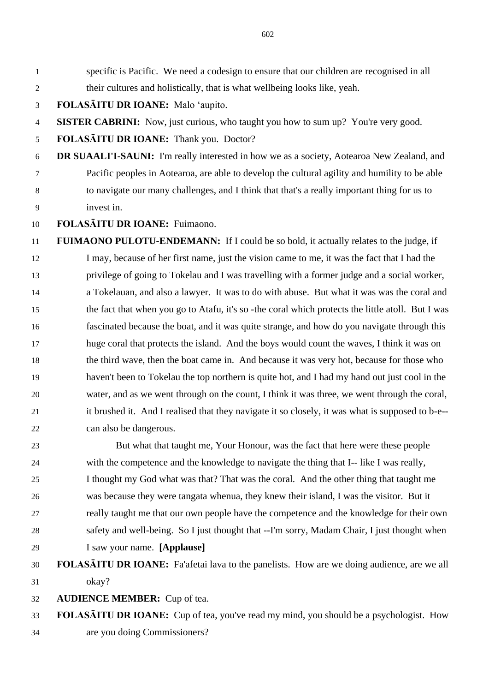specific is Pacific. We need a codesign to ensure that our children are recognised in all their cultures and holistically, that is what wellbeing looks like, yeah.

**FOLASĀITU DR IOANE:** Malo 'aupito.

4 **SISTER CABRINI:** Now, just curious, who taught you how to sum up? You're very good.

**FOLASĀITU DR IOANE:** Thank you. Doctor?

 **DR SUAALI'I-SAUNI:** I'm really interested in how we as a society, Aotearoa New Zealand, and Pacific peoples in Aotearoa, are able to develop the cultural agility and humility to be able to navigate our many challenges, and I think that that's a really important thing for us to invest in.

**FOLASĀITU DR IOANE:** Fuimaono.

 **FUIMAONO PULOTU-ENDEMANN:** If I could be so bold, it actually relates to the judge, if I may, because of her first name, just the vision came to me, it was the fact that I had the privilege of going to Tokelau and I was travelling with a former judge and a social worker, a Tokelauan, and also a lawyer. It was to do with abuse. But what it was was the coral and the fact that when you go to Atafu, it's so -the coral which protects the little atoll. But I was fascinated because the boat, and it was quite strange, and how do you navigate through this huge coral that protects the island. And the boys would count the waves, I think it was on the third wave, then the boat came in. And because it was very hot, because for those who haven't been to Tokelau the top northern is quite hot, and I had my hand out just cool in the water, and as we went through on the count, I think it was three, we went through the coral, it brushed it. And I realised that they navigate it so closely, it was what is supposed to b-e-- can also be dangerous.

 But what that taught me, Your Honour, was the fact that here were these people with the competence and the knowledge to navigate the thing that I-- like I was really, I thought my God what was that? That was the coral. And the other thing that taught me was because they were tangata whenua, they knew their island, I was the visitor. But it really taught me that our own people have the competence and the knowledge for their own safety and well-being. So I just thought that --I'm sorry, Madam Chair, I just thought when I saw your name. **[Applause]**

# **FOLASĀITU DR IOANE:** Fa'afetai lava to the panelists. How are we doing audience, are we all okay?

**AUDIENCE MEMBER:** Cup of tea.

 **FOLASĀITU DR IOANE:** Cup of tea, you've read my mind, you should be a psychologist. How are you doing Commissioners?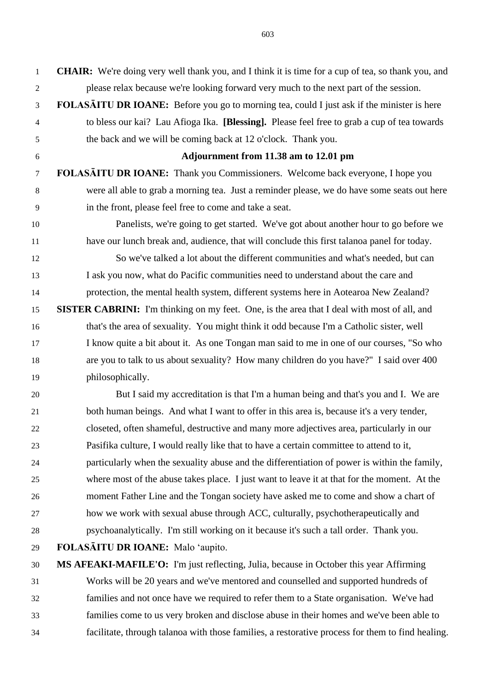**CHAIR:** We're doing very well thank you, and I think it is time for a cup of tea, so thank you, and please relax because we're looking forward very much to the next part of the session. **FOLASĀITU DR IOANE:** Before you go to morning tea, could I just ask if the minister is here to bless our kai? Lau Afioga Ika. **[Blessing].** Please feel free to grab a cup of tea towards the back and we will be coming back at 12 o'clock. Thank you. **Adjournment from 11.38 am to 12.01 pm FOLASĀITU DR IOANE:** Thank you Commissioners. Welcome back everyone, I hope you were all able to grab a morning tea. Just a reminder please, we do have some seats out here in the front, please feel free to come and take a seat. Panelists, we're going to get started. We've got about another hour to go before we have our lunch break and, audience, that will conclude this first talanoa panel for today. So we've talked a lot about the different communities and what's needed, but can I ask you now, what do Pacific communities need to understand about the care and protection, the mental health system, different systems here in Aotearoa New Zealand? **SISTER CABRINI:** I'm thinking on my feet. One, is the area that I deal with most of all, and that's the area of sexuality. You might think it odd because I'm a Catholic sister, well I know quite a bit about it. As one Tongan man said to me in one of our courses, "So who are you to talk to us about sexuality? How many children do you have?" I said over 400 philosophically.

 But I said my accreditation is that I'm a human being and that's you and I. We are both human beings. And what I want to offer in this area is, because it's a very tender, closeted, often shameful, destructive and many more adjectives area, particularly in our Pasifika culture, I would really like that to have a certain committee to attend to it, particularly when the sexuality abuse and the differentiation of power is within the family, where most of the abuse takes place. I just want to leave it at that for the moment. At the moment Father Line and the Tongan society have asked me to come and show a chart of how we work with sexual abuse through ACC, culturally, psychotherapeutically and psychoanalytically. I'm still working on it because it's such a tall order. Thank you.

**FOLASĀITU DR IOANE:** Malo 'aupito.

 **MS AFEAKI-MAFILE'O:** I'm just reflecting, Julia, because in October this year Affirming Works will be 20 years and we've mentored and counselled and supported hundreds of families and not once have we required to refer them to a State organisation. We've had families come to us very broken and disclose abuse in their homes and we've been able to facilitate, through talanoa with those families, a restorative process for them to find healing.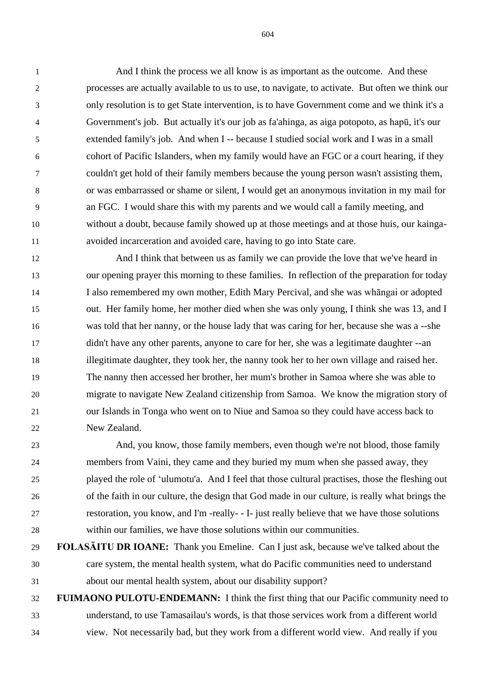And I think the process we all know is as important as the outcome. And these processes are actually available to us to use, to navigate, to activate. But often we think our only resolution is to get State intervention, is to have Government come and we think it's a Government's job. But actually it's our job as fa'ahinga, as aiga potopoto, as hapū, it's our extended family's job. And when I -- because I studied social work and I was in a small cohort of Pacific Islanders, when my family would have an FGC or a court hearing, if they couldn't get hold of their family members because the young person wasn't assisting them, or was embarrassed or shame or silent, I would get an anonymous invitation in my mail for an FGC. I would share this with my parents and we would call a family meeting, and without a doubt, because family showed up at those meetings and at those huis, our kainga-avoided incarceration and avoided care, having to go into State care.

 And I think that between us as family we can provide the love that we've heard in our opening prayer this morning to these families. In reflection of the preparation for today I also remembered my own mother, Edith Mary Percival, and she was whāngai or adopted out. Her family home, her mother died when she was only young, I think she was 13, and I was told that her nanny, or the house lady that was caring for her, because she was a --she didn't have any other parents, anyone to care for her, she was a legitimate daughter --an illegitimate daughter, they took her, the nanny took her to her own village and raised her. The nanny then accessed her brother, her mum's brother in Samoa where she was able to migrate to navigate New Zealand citizenship from Samoa. We know the migration story of our Islands in Tonga who went on to Niue and Samoa so they could have access back to New Zealand.

 And, you know, those family members, even though we're not blood, those family members from Vaini, they came and they buried my mum when she passed away, they played the role of 'ulumotu'a. And I feel that those cultural practises, those the fleshing out of the faith in our culture, the design that God made in our culture, is really what brings the restoration, you know, and I'm -really- - I- just really believe that we have those solutions within our families, we have those solutions within our communities.

 **FOLASĀITU DR IOANE:** Thank you Emeline. Can I just ask, because we've talked about the care system, the mental health system, what do Pacific communities need to understand about our mental health system, about our disability support?

 **FUIMAONO PULOTU-ENDEMANN:** I think the first thing that our Pacific community need to understand, to use Tamasailau's words, is that those services work from a different world view. Not necessarily bad, but they work from a different world view. And really if you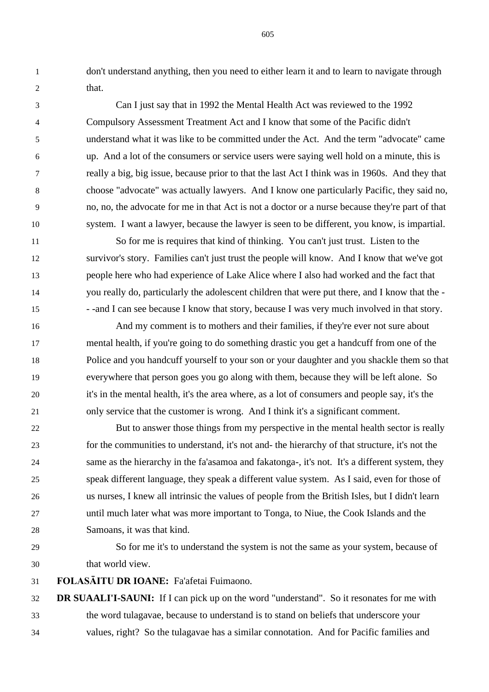don't understand anything, then you need to either learn it and to learn to navigate through that.

 Can I just say that in 1992 the Mental Health Act was reviewed to the 1992 Compulsory Assessment Treatment Act and I know that some of the Pacific didn't understand what it was like to be committed under the Act. And the term "advocate" came up. And a lot of the consumers or service users were saying well hold on a minute, this is really a big, big issue, because prior to that the last Act I think was in 1960s. And they that choose "advocate" was actually lawyers. And I know one particularly Pacific, they said no, no, no, the advocate for me in that Act is not a doctor or a nurse because they're part of that system. I want a lawyer, because the lawyer is seen to be different, you know, is impartial.

 So for me is requires that kind of thinking. You can't just trust. Listen to the survivor's story. Families can't just trust the people will know. And I know that we've got people here who had experience of Lake Alice where I also had worked and the fact that you really do, particularly the adolescent children that were put there, and I know that the - - -and I can see because I know that story, because I was very much involved in that story.

 And my comment is to mothers and their families, if they're ever not sure about mental health, if you're going to do something drastic you get a handcuff from one of the Police and you handcuff yourself to your son or your daughter and you shackle them so that everywhere that person goes you go along with them, because they will be left alone. So it's in the mental health, it's the area where, as a lot of consumers and people say, it's the only service that the customer is wrong. And I think it's a significant comment.

 But to answer those things from my perspective in the mental health sector is really for the communities to understand, it's not and- the hierarchy of that structure, it's not the same as the hierarchy in the fa'asamoa and fakatonga-, it's not. It's a different system, they speak different language, they speak a different value system. As I said, even for those of us nurses, I knew all intrinsic the values of people from the British Isles, but I didn't learn until much later what was more important to Tonga, to Niue, the Cook Islands and the Samoans, it was that kind.

 So for me it's to understand the system is not the same as your system, because of that world view.

**FOLASĀITU DR IOANE:** Fa'afetai Fuimaono.

 **DR SUAALI'I-SAUNI:** If I can pick up on the word "understand". So it resonates for me with the word tulagavae, because to understand is to stand on beliefs that underscore your values, right? So the tulagavae has a similar connotation. And for Pacific families and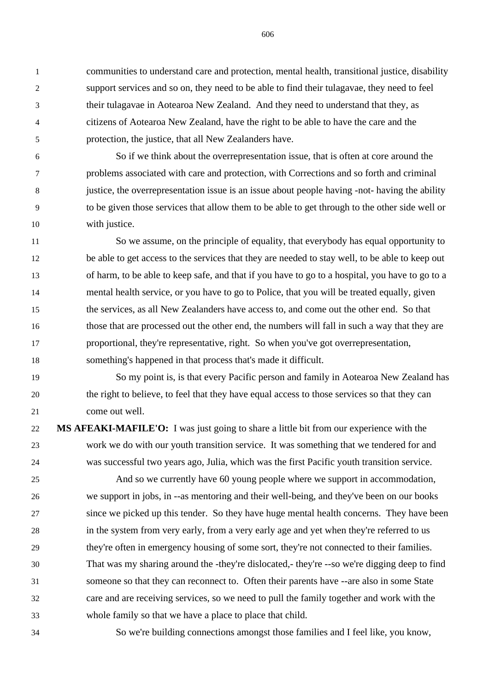communities to understand care and protection, mental health, transitional justice, disability support services and so on, they need to be able to find their tulagavae, they need to feel their tulagavae in Aotearoa New Zealand. And they need to understand that they, as citizens of Aotearoa New Zealand, have the right to be able to have the care and the protection, the justice, that all New Zealanders have.

 So if we think about the overrepresentation issue, that is often at core around the problems associated with care and protection, with Corrections and so forth and criminal justice, the overrepresentation issue is an issue about people having -not- having the ability to be given those services that allow them to be able to get through to the other side well or with justice.

 So we assume, on the principle of equality, that everybody has equal opportunity to be able to get access to the services that they are needed to stay well, to be able to keep out of harm, to be able to keep safe, and that if you have to go to a hospital, you have to go to a mental health service, or you have to go to Police, that you will be treated equally, given the services, as all New Zealanders have access to, and come out the other end. So that those that are processed out the other end, the numbers will fall in such a way that they are proportional, they're representative, right. So when you've got overrepresentation, something's happened in that process that's made it difficult.

 So my point is, is that every Pacific person and family in Aotearoa New Zealand has the right to believe, to feel that they have equal access to those services so that they can come out well.

 **MS AFEAKI-MAFILE'O:** I was just going to share a little bit from our experience with the work we do with our youth transition service. It was something that we tendered for and was successful two years ago, Julia, which was the first Pacific youth transition service.

 And so we currently have 60 young people where we support in accommodation, we support in jobs, in --as mentoring and their well-being, and they've been on our books since we picked up this tender. So they have huge mental health concerns. They have been in the system from very early, from a very early age and yet when they're referred to us they're often in emergency housing of some sort, they're not connected to their families. That was my sharing around the -they're dislocated,- they're --so we're digging deep to find someone so that they can reconnect to. Often their parents have --are also in some State care and are receiving services, so we need to pull the family together and work with the whole family so that we have a place to place that child.

So we're building connections amongst those families and I feel like, you know,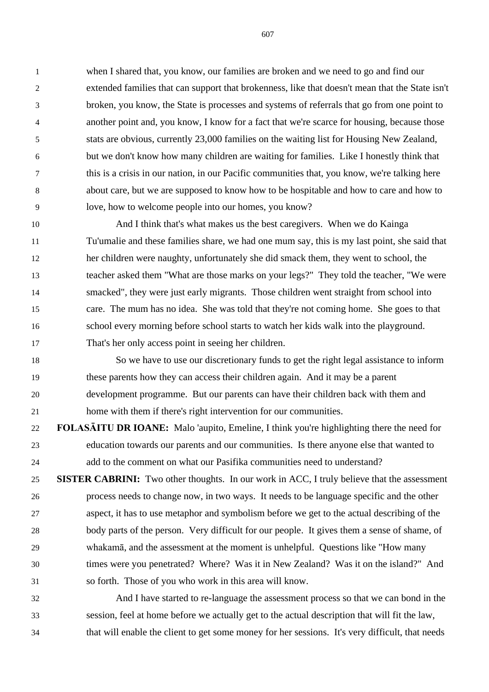when I shared that, you know, our families are broken and we need to go and find our extended families that can support that brokenness, like that doesn't mean that the State isn't broken, you know, the State is processes and systems of referrals that go from one point to another point and, you know, I know for a fact that we're scarce for housing, because those stats are obvious, currently 23,000 families on the waiting list for Housing New Zealand, but we don't know how many children are waiting for families. Like I honestly think that this is a crisis in our nation, in our Pacific communities that, you know, we're talking here about care, but we are supposed to know how to be hospitable and how to care and how to love, how to welcome people into our homes, you know?

 And I think that's what makes us the best caregivers. When we do Kainga Tu'umalie and these families share, we had one mum say, this is my last point, she said that her children were naughty, unfortunately she did smack them, they went to school, the teacher asked them "What are those marks on your legs?" They told the teacher, "We were smacked", they were just early migrants. Those children went straight from school into care. The mum has no idea. She was told that they're not coming home. She goes to that school every morning before school starts to watch her kids walk into the playground. That's her only access point in seeing her children.

 So we have to use our discretionary funds to get the right legal assistance to inform these parents how they can access their children again. And it may be a parent development programme. But our parents can have their children back with them and home with them if there's right intervention for our communities.

 **FOLASĀITU DR IOANE:** Malo 'aupito, Emeline, I think you're highlighting there the need for education towards our parents and our communities. Is there anyone else that wanted to add to the comment on what our Pasifika communities need to understand?

 **SISTER CABRINI:** Two other thoughts. In our work in ACC, I truly believe that the assessment process needs to change now, in two ways. It needs to be language specific and the other aspect, it has to use metaphor and symbolism before we get to the actual describing of the body parts of the person. Very difficult for our people. It gives them a sense of shame, of whakamā, and the assessment at the moment is unhelpful. Questions like "How many times were you penetrated? Where? Was it in New Zealand? Was it on the island?" And so forth. Those of you who work in this area will know.

 And I have started to re-language the assessment process so that we can bond in the session, feel at home before we actually get to the actual description that will fit the law, that will enable the client to get some money for her sessions. It's very difficult, that needs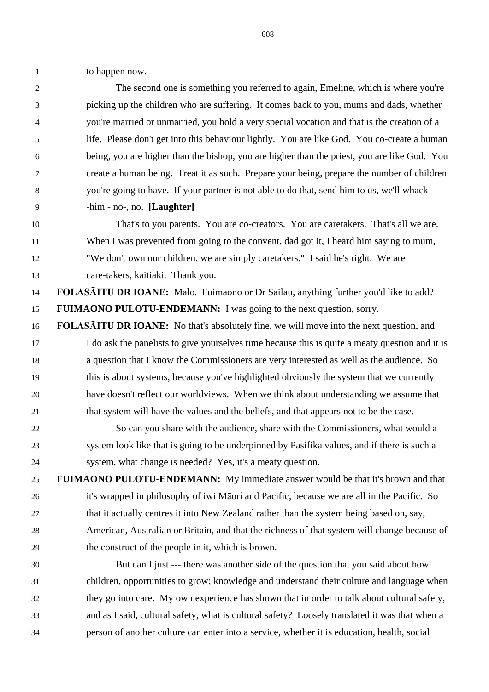to happen now.

 The second one is something you referred to again, Emeline, which is where you're picking up the children who are suffering. It comes back to you, mums and dads, whether you're married or unmarried, you hold a very special vocation and that is the creation of a life. Please don't get into this behaviour lightly. You are like God. You co-create a human being, you are higher than the bishop, you are higher than the priest, you are like God. You create a human being. Treat it as such. Prepare your being, prepare the number of children you're going to have. If your partner is not able to do that, send him to us, we'll whack -him - no-, no. **[Laughter]**

 That's to you parents. You are co-creators. You are caretakers. That's all we are. When I was prevented from going to the convent, dad got it, I heard him saying to mum, "We don't own our children, we are simply caretakers." I said he's right. We are care-takers, kaitiaki. Thank you.

 **FOLASĀITU DR IOANE:** Malo. Fuimaono or Dr Sailau, anything further you'd like to add? **FUIMAONO PULOTU-ENDEMANN:** I was going to the next question, sorry.

 **FOLASĀITU DR IOANE:** No that's absolutely fine, we will move into the next question, and I do ask the panelists to give yourselves time because this is quite a meaty question and it is a question that I know the Commissioners are very interested as well as the audience. So this is about systems, because you've highlighted obviously the system that we currently have doesn't reflect our worldviews. When we think about understanding we assume that that system will have the values and the beliefs, and that appears not to be the case.

 So can you share with the audience, share with the Commissioners, what would a system look like that is going to be underpinned by Pasifika values, and if there is such a system, what change is needed? Yes, it's a meaty question.

 **FUIMAONO PULOTU-ENDEMANN:** My immediate answer would be that it's brown and that it's wrapped in philosophy of iwi Māori and Pacific, because we are all in the Pacific. So that it actually centres it into New Zealand rather than the system being based on, say, American, Australian or Britain, and that the richness of that system will change because of the construct of the people in it, which is brown.

 But can I just --- there was another side of the question that you said about how children, opportunities to grow; knowledge and understand their culture and language when they go into care. My own experience has shown that in order to talk about cultural safety, and as I said, cultural safety, what is cultural safety? Loosely translated it was that when a person of another culture can enter into a service, whether it is education, health, social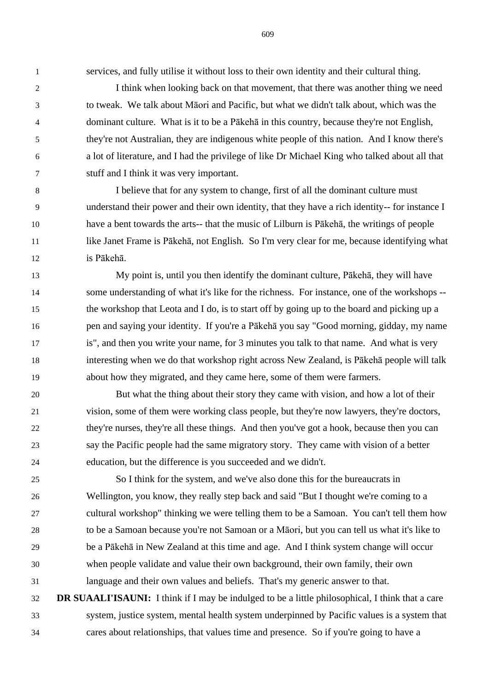services, and fully utilise it without loss to their own identity and their cultural thing.

 I think when looking back on that movement, that there was another thing we need to tweak. We talk about Māori and Pacific, but what we didn't talk about, which was the dominant culture. What is it to be a Pākehā in this country, because they're not English, they're not Australian, they are indigenous white people of this nation. And I know there's a lot of literature, and I had the privilege of like Dr Michael King who talked about all that stuff and I think it was very important.

 I believe that for any system to change, first of all the dominant culture must understand their power and their own identity, that they have a rich identity-- for instance I have a bent towards the arts-- that the music of Lilburn is Pākehā, the writings of people like Janet Frame is Pākehā, not English. So I'm very clear for me, because identifying what is Pākehā.

 My point is, until you then identify the dominant culture, Pākehā, they will have some understanding of what it's like for the richness. For instance, one of the workshops -- the workshop that Leota and I do, is to start off by going up to the board and picking up a pen and saying your identity. If you're a Pākehā you say "Good morning, gidday, my name is", and then you write your name, for 3 minutes you talk to that name. And what is very interesting when we do that workshop right across New Zealand, is Pākehā people will talk about how they migrated, and they came here, some of them were farmers.

 But what the thing about their story they came with vision, and how a lot of their vision, some of them were working class people, but they're now lawyers, they're doctors, they're nurses, they're all these things. And then you've got a hook, because then you can say the Pacific people had the same migratory story. They came with vision of a better education, but the difference is you succeeded and we didn't.

 So I think for the system, and we've also done this for the bureaucrats in Wellington, you know, they really step back and said "But I thought we're coming to a cultural workshop" thinking we were telling them to be a Samoan. You can't tell them how to be a Samoan because you're not Samoan or a Māori, but you can tell us what it's like to be a Pākehā in New Zealand at this time and age. And I think system change will occur when people validate and value their own background, their own family, their own language and their own values and beliefs. That's my generic answer to that.

 **DR SUAALI'ISAUNI:** I think if I may be indulged to be a little philosophical, I think that a care system, justice system, mental health system underpinned by Pacific values is a system that cares about relationships, that values time and presence. So if you're going to have a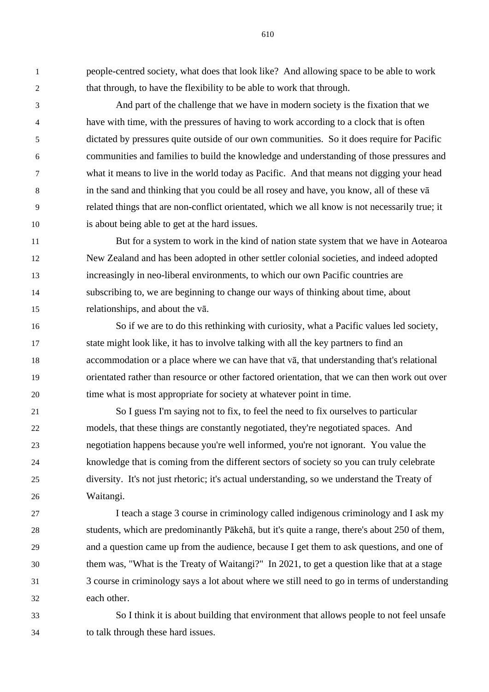people-centred society, what does that look like? And allowing space to be able to work that through, to have the flexibility to be able to work that through.

 And part of the challenge that we have in modern society is the fixation that we have with time, with the pressures of having to work according to a clock that is often dictated by pressures quite outside of our own communities. So it does require for Pacific communities and families to build the knowledge and understanding of those pressures and what it means to live in the world today as Pacific. And that means not digging your head in the sand and thinking that you could be all rosey and have, you know, all of these vā related things that are non-conflict orientated, which we all know is not necessarily true; it is about being able to get at the hard issues.

 But for a system to work in the kind of nation state system that we have in Aotearoa New Zealand and has been adopted in other settler colonial societies, and indeed adopted increasingly in neo-liberal environments, to which our own Pacific countries are subscribing to, we are beginning to change our ways of thinking about time, about relationships, and about the vā.

 So if we are to do this rethinking with curiosity, what a Pacific values led society, state might look like, it has to involve talking with all the key partners to find an accommodation or a place where we can have that vā, that understanding that's relational orientated rather than resource or other factored orientation, that we can then work out over time what is most appropriate for society at whatever point in time.

 So I guess I'm saying not to fix, to feel the need to fix ourselves to particular models, that these things are constantly negotiated, they're negotiated spaces. And negotiation happens because you're well informed, you're not ignorant. You value the knowledge that is coming from the different sectors of society so you can truly celebrate diversity. It's not just rhetoric; it's actual understanding, so we understand the Treaty of Waitangi.

 I teach a stage 3 course in criminology called indigenous criminology and I ask my students, which are predominantly Pākehā, but it's quite a range, there's about 250 of them, and a question came up from the audience, because I get them to ask questions, and one of them was, "What is the Treaty of Waitangi?" In 2021, to get a question like that at a stage 3 course in criminology says a lot about where we still need to go in terms of understanding each other.

 So I think it is about building that environment that allows people to not feel unsafe to talk through these hard issues.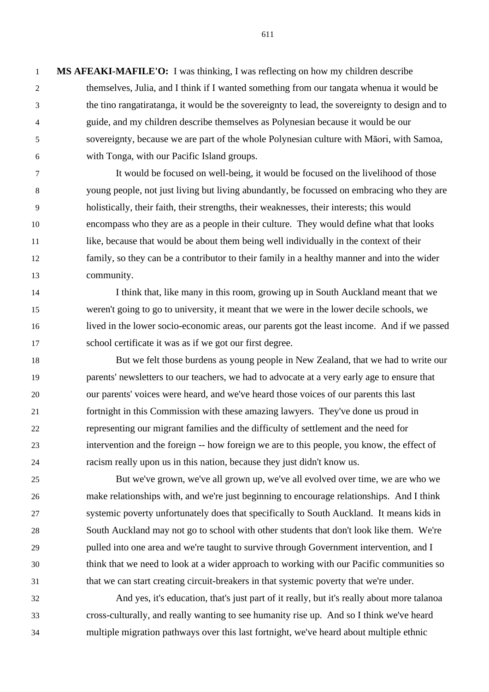**MS AFEAKI-MAFILE'O:** I was thinking, I was reflecting on how my children describe themselves, Julia, and I think if I wanted something from our tangata whenua it would be the tino rangatiratanga, it would be the sovereignty to lead, the sovereignty to design and to guide, and my children describe themselves as Polynesian because it would be our sovereignty, because we are part of the whole Polynesian culture with Māori, with Samoa, with Tonga, with our Pacific Island groups.

 It would be focused on well-being, it would be focused on the livelihood of those young people, not just living but living abundantly, be focussed on embracing who they are holistically, their faith, their strengths, their weaknesses, their interests; this would encompass who they are as a people in their culture. They would define what that looks like, because that would be about them being well individually in the context of their family, so they can be a contributor to their family in a healthy manner and into the wider community.

 I think that, like many in this room, growing up in South Auckland meant that we weren't going to go to university, it meant that we were in the lower decile schools, we lived in the lower socio-economic areas, our parents got the least income. And if we passed school certificate it was as if we got our first degree.

 But we felt those burdens as young people in New Zealand, that we had to write our parents' newsletters to our teachers, we had to advocate at a very early age to ensure that our parents' voices were heard, and we've heard those voices of our parents this last fortnight in this Commission with these amazing lawyers. They've done us proud in representing our migrant families and the difficulty of settlement and the need for intervention and the foreign -- how foreign we are to this people, you know, the effect of racism really upon us in this nation, because they just didn't know us.

 But we've grown, we've all grown up, we've all evolved over time, we are who we make relationships with, and we're just beginning to encourage relationships. And I think systemic poverty unfortunately does that specifically to South Auckland. It means kids in South Auckland may not go to school with other students that don't look like them. We're pulled into one area and we're taught to survive through Government intervention, and I think that we need to look at a wider approach to working with our Pacific communities so that we can start creating circuit-breakers in that systemic poverty that we're under.

 And yes, it's education, that's just part of it really, but it's really about more talanoa cross-culturally, and really wanting to see humanity rise up. And so I think we've heard multiple migration pathways over this last fortnight, we've heard about multiple ethnic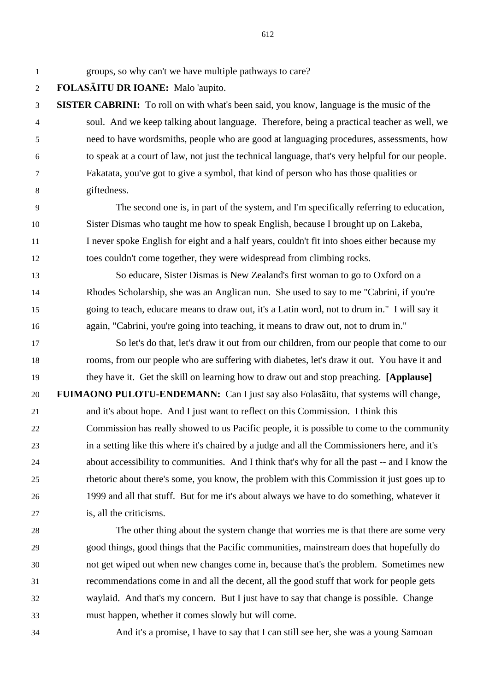groups, so why can't we have multiple pathways to care?

**FOLASĀITU DR IOANE:** Malo 'aupito.

 **SISTER CABRINI:** To roll on with what's been said, you know, language is the music of the soul. And we keep talking about language. Therefore, being a practical teacher as well, we need to have wordsmiths, people who are good at languaging procedures, assessments, how to speak at a court of law, not just the technical language, that's very helpful for our people. Fakatata, you've got to give a symbol, that kind of person who has those qualities or giftedness.

 The second one is, in part of the system, and I'm specifically referring to education, Sister Dismas who taught me how to speak English, because I brought up on Lakeba, 11 I never spoke English for eight and a half years, couldn't fit into shoes either because my toes couldn't come together, they were widespread from climbing rocks.

 So educare, Sister Dismas is New Zealand's first woman to go to Oxford on a Rhodes Scholarship, she was an Anglican nun. She used to say to me "Cabrini, if you're going to teach, educare means to draw out, it's a Latin word, not to drum in." I will say it again, "Cabrini, you're going into teaching, it means to draw out, not to drum in."

 So let's do that, let's draw it out from our children, from our people that come to our rooms, from our people who are suffering with diabetes, let's draw it out. You have it and they have it. Get the skill on learning how to draw out and stop preaching. **[Applause]**

 **FUIMAONO PULOTU-ENDEMANN:** Can I just say also Folasāitu, that systems will change, and it's about hope. And I just want to reflect on this Commission. I think this Commission has really showed to us Pacific people, it is possible to come to the community in a setting like this where it's chaired by a judge and all the Commissioners here, and it's about accessibility to communities. And I think that's why for all the past -- and I know the rhetoric about there's some, you know, the problem with this Commission it just goes up to 1999 and all that stuff. But for me it's about always we have to do something, whatever it is, all the criticisms.

 The other thing about the system change that worries me is that there are some very good things, good things that the Pacific communities, mainstream does that hopefully do not get wiped out when new changes come in, because that's the problem. Sometimes new recommendations come in and all the decent, all the good stuff that work for people gets waylaid. And that's my concern. But I just have to say that change is possible. Change must happen, whether it comes slowly but will come.

And it's a promise, I have to say that I can still see her, she was a young Samoan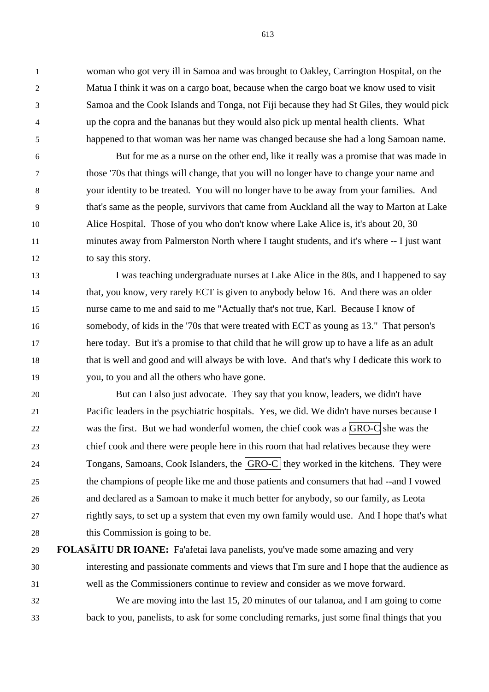woman who got very ill in Samoa and was brought to Oakley, Carrington Hospital, on the Matua I think it was on a cargo boat, because when the cargo boat we know used to visit Samoa and the Cook Islands and Tonga, not Fiji because they had St Giles, they would pick up the copra and the bananas but they would also pick up mental health clients. What happened to that woman was her name was changed because she had a long Samoan name.

 But for me as a nurse on the other end, like it really was a promise that was made in those '70s that things will change, that you will no longer have to change your name and your identity to be treated. You will no longer have to be away from your families. And that's same as the people, survivors that came from Auckland all the way to Marton at Lake Alice Hospital. Those of you who don't know where Lake Alice is, it's about 20, 30 minutes away from Palmerston North where I taught students, and it's where -- I just want to say this story.

13 I was teaching undergraduate nurses at Lake Alice in the 80s, and I happened to say that, you know, very rarely ECT is given to anybody below 16. And there was an older nurse came to me and said to me "Actually that's not true, Karl. Because I know of somebody, of kids in the '70s that were treated with ECT as young as 13." That person's here today. But it's a promise to that child that he will grow up to have a life as an adult that is well and good and will always be with love. And that's why I dedicate this work to you, to you and all the others who have gone.

 But can I also just advocate. They say that you know, leaders, we didn't have Pacific leaders in the psychiatric hospitals. Yes, we did. We didn't have nurses because I 22 was the first. But we had wonderful women, the chief cook was a  $\overline{GRO-C}$  she was the chief cook and there were people here in this room that had relatives because they were 24 Tongans, Samoans, Cook Islanders, the  $\boxed{\text{GRO-C}}$  they worked in the kitchens. They were the champions of people like me and those patients and consumers that had --and I vowed and declared as a Samoan to make it much better for anybody, so our family, as Leota rightly says, to set up a system that even my own family would use. And I hope that's what this Commission is going to be.

 **FOLASĀITU DR IOANE:** Fa'afetai lava panelists, you've made some amazing and very interesting and passionate comments and views that I'm sure and I hope that the audience as well as the Commissioners continue to review and consider as we move forward.

 We are moving into the last 15, 20 minutes of our talanoa, and I am going to come back to you, panelists, to ask for some concluding remarks, just some final things that you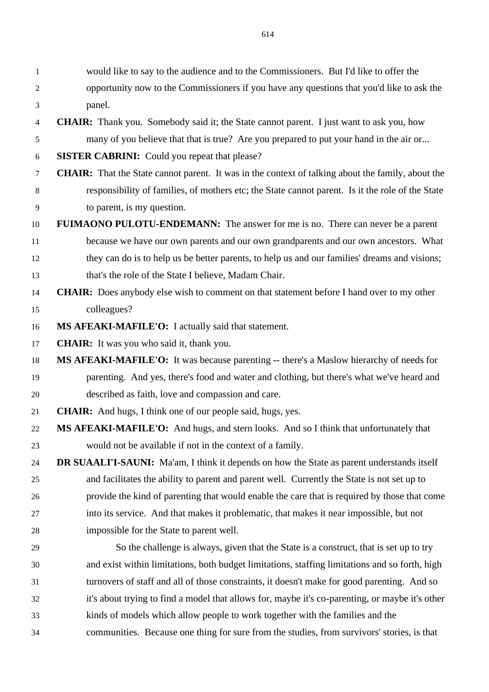would like to say to the audience and to the Commissioners. But I'd like to offer the opportunity now to the Commissioners if you have any questions that you'd like to ask the panel.

- **CHAIR:** Thank you. Somebody said it; the State cannot parent. I just want to ask you, how many of you believe that that is true? Are you prepared to put your hand in the air or...
- **SISTER CABRINI:** Could you repeat that please?
- **CHAIR:** That the State cannot parent. It was in the context of talking about the family, about the responsibility of families, of mothers etc; the State cannot parent. Is it the role of the State to parent, is my question.
- **FUIMAONO PULOTU-ENDEMANN:** The answer for me is no. There can never be a parent
- because we have our own parents and our own grandparents and our own ancestors. What they can do is to help us be better parents, to help us and our families' dreams and visions; that's the role of the State I believe, Madam Chair.
- **CHAIR:** Does anybody else wish to comment on that statement before I hand over to my other colleagues?
- **MS AFEAKI-MAFILE'O:** I actually said that statement.
- **CHAIR:** It was you who said it, thank you.
- **MS AFEAKI-MAFILE'O:** It was because parenting -- there's a Maslow hierarchy of needs for parenting. And yes, there's food and water and clothing, but there's what we've heard and described as faith, love and compassion and care.
- **CHAIR:** And hugs, I think one of our people said, hugs, yes.
- **MS AFEAKI-MAFILE'O:** And hugs, and stern looks. And so I think that unfortunately that would not be available if not in the context of a family.

 **DR SUAALI'I-SAUNI:** Ma'am, I think it depends on how the State as parent understands itself and facilitates the ability to parent and parent well. Currently the State is not set up to provide the kind of parenting that would enable the care that is required by those that come into its service. And that makes it problematic, that makes it near impossible, but not impossible for the State to parent well.

 So the challenge is always, given that the State is a construct, that is set up to try and exist within limitations, both budget limitations, staffing limitations and so forth, high turnovers of staff and all of those constraints, it doesn't make for good parenting. And so it's about trying to find a model that allows for, maybe it's co-parenting, or maybe it's other kinds of models which allow people to work together with the families and the communities. Because one thing for sure from the studies, from survivors' stories, is that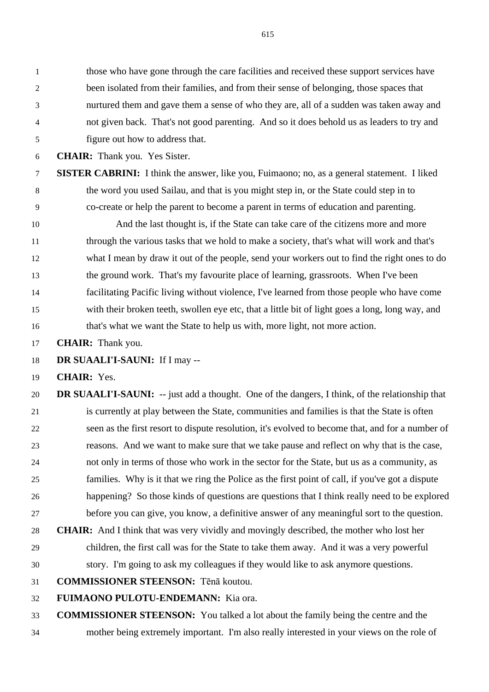those who have gone through the care facilities and received these support services have been isolated from their families, and from their sense of belonging, those spaces that nurtured them and gave them a sense of who they are, all of a sudden was taken away and not given back. That's not good parenting. And so it does behold us as leaders to try and figure out how to address that.

**CHAIR:** Thank you. Yes Sister.

 **SISTER CABRINI:** I think the answer, like you, Fuimaono; no, as a general statement. I liked the word you used Sailau, and that is you might step in, or the State could step in to co-create or help the parent to become a parent in terms of education and parenting.

 And the last thought is, if the State can take care of the citizens more and more through the various tasks that we hold to make a society, that's what will work and that's what I mean by draw it out of the people, send your workers out to find the right ones to do the ground work. That's my favourite place of learning, grassroots. When I've been facilitating Pacific living without violence, I've learned from those people who have come with their broken teeth, swollen eye etc, that a little bit of light goes a long, long way, and that's what we want the State to help us with, more light, not more action.

**CHAIR:** Thank you.

**DR SUAALI'I-SAUNI:** If I may --

**CHAIR:** Yes.

 **DR SUAALI'I-SAUNI:** -- just add a thought. One of the dangers, I think, of the relationship that is currently at play between the State, communities and families is that the State is often seen as the first resort to dispute resolution, it's evolved to become that, and for a number of reasons. And we want to make sure that we take pause and reflect on why that is the case, not only in terms of those who work in the sector for the State, but us as a community, as families. Why is it that we ring the Police as the first point of call, if you've got a dispute happening? So those kinds of questions are questions that I think really need to be explored before you can give, you know, a definitive answer of any meaningful sort to the question.

 **CHAIR:** And I think that was very vividly and movingly described, the mother who lost her children, the first call was for the State to take them away. And it was a very powerful story. I'm going to ask my colleagues if they would like to ask anymore questions.

**COMMISSIONER STEENSON:** Tēnā koutou.

**FUIMAONO PULOTU-ENDEMANN:** Kia ora.

**COMMISSIONER STEENSON:** You talked a lot about the family being the centre and the

mother being extremely important. I'm also really interested in your views on the role of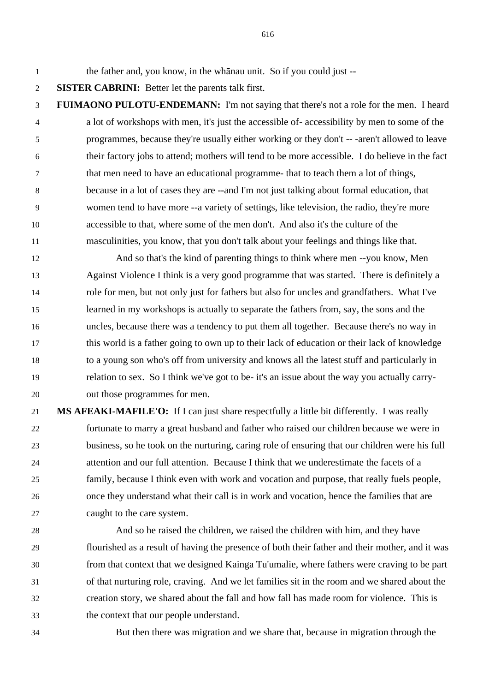the father and, you know, in the whānau unit. So if you could just --

**SISTER CABRINI:** Better let the parents talk first.

 **FUIMAONO PULOTU-ENDEMANN:** I'm not saying that there's not a role for the men. I heard a lot of workshops with men, it's just the accessible of- accessibility by men to some of the programmes, because they're usually either working or they don't -- -aren't allowed to leave their factory jobs to attend; mothers will tend to be more accessible. I do believe in the fact that men need to have an educational programme- that to teach them a lot of things, because in a lot of cases they are --and I'm not just talking about formal education, that women tend to have more --a variety of settings, like television, the radio, they're more accessible to that, where some of the men don't. And also it's the culture of the masculinities, you know, that you don't talk about your feelings and things like that.

 And so that's the kind of parenting things to think where men --you know, Men Against Violence I think is a very good programme that was started. There is definitely a role for men, but not only just for fathers but also for uncles and grandfathers. What I've learned in my workshops is actually to separate the fathers from, say, the sons and the uncles, because there was a tendency to put them all together. Because there's no way in this world is a father going to own up to their lack of education or their lack of knowledge to a young son who's off from university and knows all the latest stuff and particularly in relation to sex. So I think we've got to be- it's an issue about the way you actually carry-out those programmes for men.

 **MS AFEAKI-MAFILE'O:** If I can just share respectfully a little bit differently. I was really fortunate to marry a great husband and father who raised our children because we were in business, so he took on the nurturing, caring role of ensuring that our children were his full attention and our full attention. Because I think that we underestimate the facets of a family, because I think even with work and vocation and purpose, that really fuels people, once they understand what their call is in work and vocation, hence the families that are caught to the care system.

 And so he raised the children, we raised the children with him, and they have flourished as a result of having the presence of both their father and their mother, and it was from that context that we designed Kainga Tu'umalie, where fathers were craving to be part of that nurturing role, craving. And we let families sit in the room and we shared about the creation story, we shared about the fall and how fall has made room for violence. This is the context that our people understand.

But then there was migration and we share that, because in migration through the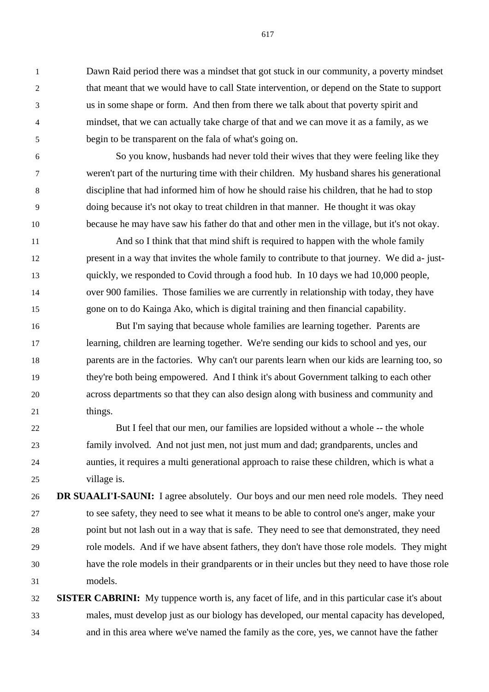Dawn Raid period there was a mindset that got stuck in our community, a poverty mindset that meant that we would have to call State intervention, or depend on the State to support us in some shape or form. And then from there we talk about that poverty spirit and mindset, that we can actually take charge of that and we can move it as a family, as we begin to be transparent on the fala of what's going on.

 So you know, husbands had never told their wives that they were feeling like they weren't part of the nurturing time with their children. My husband shares his generational discipline that had informed him of how he should raise his children, that he had to stop doing because it's not okay to treat children in that manner. He thought it was okay because he may have saw his father do that and other men in the village, but it's not okay.

 And so I think that that mind shift is required to happen with the whole family present in a way that invites the whole family to contribute to that journey. We did a- just- quickly, we responded to Covid through a food hub. In 10 days we had 10,000 people, over 900 families. Those families we are currently in relationship with today, they have gone on to do Kainga Ako, which is digital training and then financial capability.

 But I'm saying that because whole families are learning together. Parents are learning, children are learning together. We're sending our kids to school and yes, our parents are in the factories. Why can't our parents learn when our kids are learning too, so they're both being empowered. And I think it's about Government talking to each other across departments so that they can also design along with business and community and 21 things.

 But I feel that our men, our families are lopsided without a whole -- the whole family involved. And not just men, not just mum and dad; grandparents, uncles and aunties, it requires a multi generational approach to raise these children, which is what a village is.

 **DR SUAALI'I-SAUNI:** I agree absolutely. Our boys and our men need role models. They need to see safety, they need to see what it means to be able to control one's anger, make your point but not lash out in a way that is safe. They need to see that demonstrated, they need role models. And if we have absent fathers, they don't have those role models. They might have the role models in their grandparents or in their uncles but they need to have those role models.

 **SISTER CABRINI:** My tuppence worth is, any facet of life, and in this particular case it's about males, must develop just as our biology has developed, our mental capacity has developed, and in this area where we've named the family as the core, yes, we cannot have the father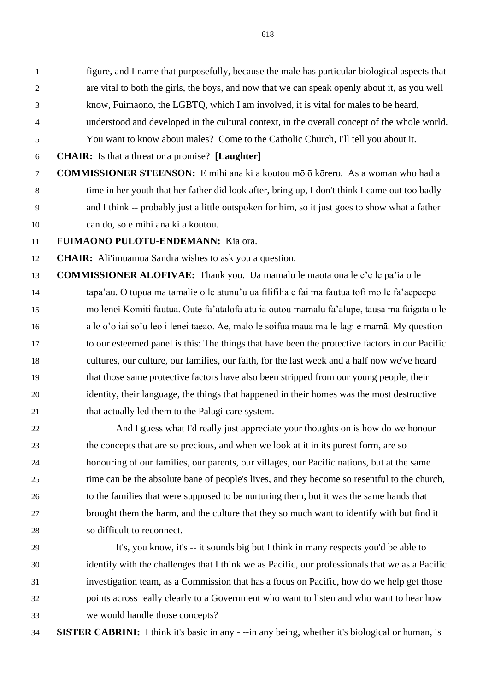figure, and I name that purposefully, because the male has particular biological aspects that are vital to both the girls, the boys, and now that we can speak openly about it, as you well know, Fuimaono, the LGBTQ, which I am involved, it is vital for males to be heard, understood and developed in the cultural context, in the overall concept of the whole world.

You want to know about males? Come to the Catholic Church, I'll tell you about it.

**CHAIR:** Is that a threat or a promise? **[Laughter]**

 **COMMISSIONER STEENSON:** E mihi ana ki a koutou mō ō kōrero. As a woman who had a time in her youth that her father did look after, bring up, I don't think I came out too badly and I think -- probably just a little outspoken for him, so it just goes to show what a father can do, so e mihi ana ki a koutou.

**FUIMAONO PULOTU-ENDEMANN:** Kia ora.

**CHAIR:** Ali'imuamua Sandra wishes to ask you a question.

 **COMMISSIONER ALOFIVAE:** Thank you. Ua mamalu le maota ona le e'e le pa'ia o le tapa'au. O tupua ma tamalie o le atunu'u ua filifilia e fai ma fautua tofi mo le fa'aepeepe mo lenei Komiti fautua. Oute fa'atalofa atu ia outou mamalu fa'alupe, tausa ma faigata o le a le o'o iai so'u leo i lenei taeao. Ae, malo le soifua maua ma le lagi e mamā. My question to our esteemed panel is this: The things that have been the protective factors in our Pacific cultures, our culture, our families, our faith, for the last week and a half now we've heard that those same protective factors have also been stripped from our young people, their identity, their language, the things that happened in their homes was the most destructive 21 that actually led them to the Palagi care system.

 And I guess what I'd really just appreciate your thoughts on is how do we honour the concepts that are so precious, and when we look at it in its purest form, are so honouring of our families, our parents, our villages, our Pacific nations, but at the same time can be the absolute bane of people's lives, and they become so resentful to the church, to the families that were supposed to be nurturing them, but it was the same hands that brought them the harm, and the culture that they so much want to identify with but find it so difficult to reconnect.

 It's, you know, it's -- it sounds big but I think in many respects you'd be able to identify with the challenges that I think we as Pacific, our professionals that we as a Pacific investigation team, as a Commission that has a focus on Pacific, how do we help get those points across really clearly to a Government who want to listen and who want to hear how we would handle those concepts?

**SISTER CABRINI:** I think it's basic in any - --in any being, whether it's biological or human, is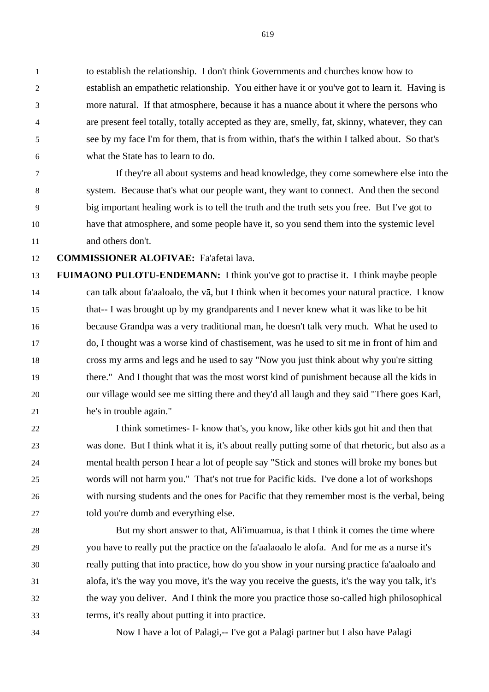to establish the relationship. I don't think Governments and churches know how to establish an empathetic relationship. You either have it or you've got to learn it. Having is more natural. If that atmosphere, because it has a nuance about it where the persons who are present feel totally, totally accepted as they are, smelly, fat, skinny, whatever, they can see by my face I'm for them, that is from within, that's the within I talked about. So that's what the State has to learn to do.

 If they're all about systems and head knowledge, they come somewhere else into the system. Because that's what our people want, they want to connect. And then the second big important healing work is to tell the truth and the truth sets you free. But I've got to have that atmosphere, and some people have it, so you send them into the systemic level and others don't.

**COMMISSIONER ALOFIVAE:** Fa'afetai lava.

 **FUIMAONO PULOTU-ENDEMANN:** I think you've got to practise it. I think maybe people can talk about fa'aaloalo, the vā, but I think when it becomes your natural practice. I know that-- I was brought up by my grandparents and I never knew what it was like to be hit because Grandpa was a very traditional man, he doesn't talk very much. What he used to do, I thought was a worse kind of chastisement, was he used to sit me in front of him and cross my arms and legs and he used to say "Now you just think about why you're sitting there." And I thought that was the most worst kind of punishment because all the kids in our village would see me sitting there and they'd all laugh and they said "There goes Karl, he's in trouble again."

 I think sometimes- I- know that's, you know, like other kids got hit and then that was done. But I think what it is, it's about really putting some of that rhetoric, but also as a mental health person I hear a lot of people say "Stick and stones will broke my bones but words will not harm you." That's not true for Pacific kids. I've done a lot of workshops with nursing students and the ones for Pacific that they remember most is the verbal, being told you're dumb and everything else.

 But my short answer to that, Ali'imuamua, is that I think it comes the time where you have to really put the practice on the fa'aalaoalo le alofa. And for me as a nurse it's really putting that into practice, how do you show in your nursing practice fa'aaloalo and alofa, it's the way you move, it's the way you receive the guests, it's the way you talk, it's the way you deliver. And I think the more you practice those so-called high philosophical terms, it's really about putting it into practice.

Now I have a lot of Palagi,-- I've got a Palagi partner but I also have Palagi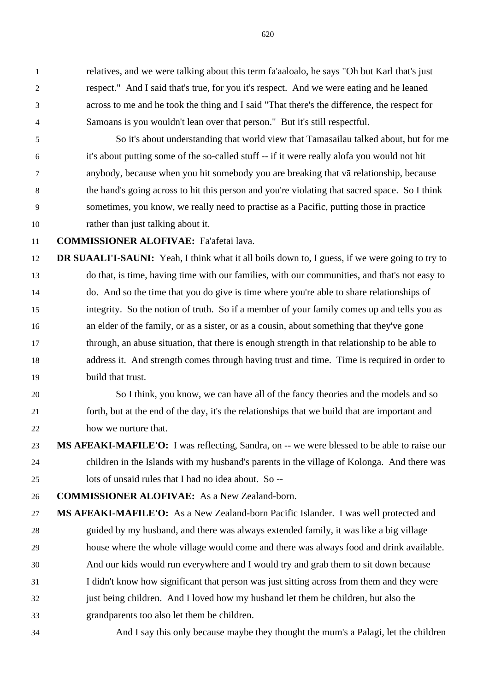relatives, and we were talking about this term fa'aaloalo, he says "Oh but Karl that's just respect." And I said that's true, for you it's respect. And we were eating and he leaned across to me and he took the thing and I said "That there's the difference, the respect for Samoans is you wouldn't lean over that person." But it's still respectful.

 So it's about understanding that world view that Tamasailau talked about, but for me it's about putting some of the so-called stuff -- if it were really alofa you would not hit anybody, because when you hit somebody you are breaking that vā relationship, because the hand's going across to hit this person and you're violating that sacred space. So I think sometimes, you know, we really need to practise as a Pacific, putting those in practice rather than just talking about it.

**COMMISSIONER ALOFIVAE:** Fa'afetai lava.

 **DR SUAALI'I-SAUNI:** Yeah, I think what it all boils down to, I guess, if we were going to try to do that, is time, having time with our families, with our communities, and that's not easy to do. And so the time that you do give is time where you're able to share relationships of integrity. So the notion of truth. So if a member of your family comes up and tells you as an elder of the family, or as a sister, or as a cousin, about something that they've gone through, an abuse situation, that there is enough strength in that relationship to be able to address it. And strength comes through having trust and time. Time is required in order to build that trust.

# So I think, you know, we can have all of the fancy theories and the models and so forth, but at the end of the day, it's the relationships that we build that are important and how we nurture that.

 **MS AFEAKI-MAFILE'O:** I was reflecting, Sandra, on -- we were blessed to be able to raise our children in the Islands with my husband's parents in the village of Kolonga. And there was lots of unsaid rules that I had no idea about. So --

**COMMISSIONER ALOFIVAE:** As a New Zealand-born.

- **MS AFEAKI-MAFILE'O:** As a New Zealand-born Pacific Islander. I was well protected and guided by my husband, and there was always extended family, it was like a big village house where the whole village would come and there was always food and drink available. And our kids would run everywhere and I would try and grab them to sit down because I didn't know how significant that person was just sitting across from them and they were just being children. And I loved how my husband let them be children, but also the grandparents too also let them be children.
- And I say this only because maybe they thought the mum's a Palagi, let the children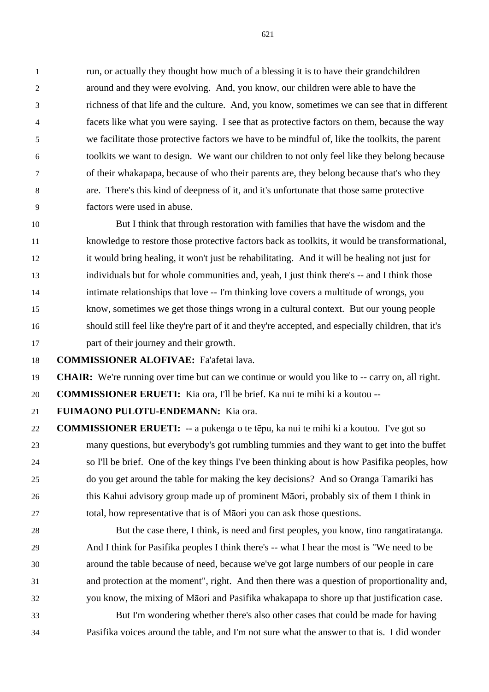run, or actually they thought how much of a blessing it is to have their grandchildren around and they were evolving. And, you know, our children were able to have the richness of that life and the culture. And, you know, sometimes we can see that in different facets like what you were saying. I see that as protective factors on them, because the way we facilitate those protective factors we have to be mindful of, like the toolkits, the parent toolkits we want to design. We want our children to not only feel like they belong because of their whakapapa, because of who their parents are, they belong because that's who they are. There's this kind of deepness of it, and it's unfortunate that those same protective factors were used in abuse.

 But I think that through restoration with families that have the wisdom and the knowledge to restore those protective factors back as toolkits, it would be transformational, it would bring healing, it won't just be rehabilitating. And it will be healing not just for individuals but for whole communities and, yeah, I just think there's -- and I think those intimate relationships that love -- I'm thinking love covers a multitude of wrongs, you know, sometimes we get those things wrong in a cultural context. But our young people should still feel like they're part of it and they're accepted, and especially children, that it's part of their journey and their growth.

**COMMISSIONER ALOFIVAE:** Fa'afetai lava.

**CHAIR:** We're running over time but can we continue or would you like to -- carry on, all right.

**COMMISSIONER ERUETI:** Kia ora, I'll be brief. Ka nui te mihi ki a koutou --

**FUIMAONO PULOTU-ENDEMANN:** Kia ora.

 **COMMISSIONER ERUETI:** -- a pukenga o te tēpu, ka nui te mihi ki a koutou. I've got so many questions, but everybody's got rumbling tummies and they want to get into the buffet so I'll be brief. One of the key things I've been thinking about is how Pasifika peoples, how do you get around the table for making the key decisions? And so Oranga Tamariki has this Kahui advisory group made up of prominent Māori, probably six of them I think in total, how representative that is of Māori you can ask those questions.

 But the case there, I think, is need and first peoples, you know, tino rangatiratanga. And I think for Pasifika peoples I think there's -- what I hear the most is "We need to be around the table because of need, because we've got large numbers of our people in care and protection at the moment", right. And then there was a question of proportionality and, you know, the mixing of Māori and Pasifika whakapapa to shore up that justification case.

 But I'm wondering whether there's also other cases that could be made for having Pasifika voices around the table, and I'm not sure what the answer to that is. I did wonder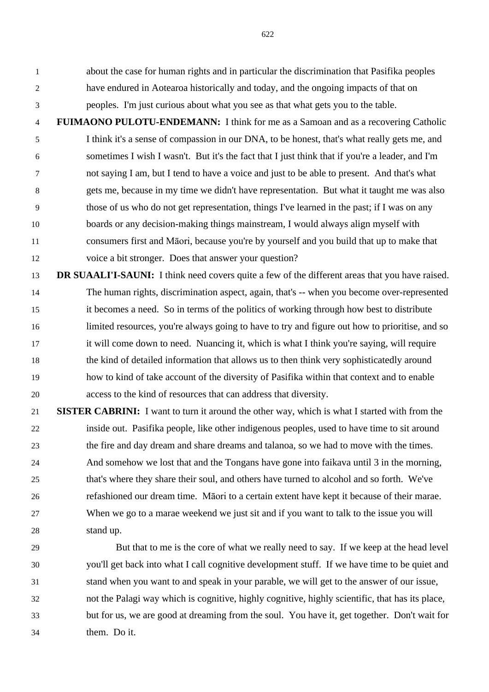about the case for human rights and in particular the discrimination that Pasifika peoples have endured in Aotearoa historically and today, and the ongoing impacts of that on peoples. I'm just curious about what you see as that what gets you to the table.

 **FUIMAONO PULOTU-ENDEMANN:** I think for me as a Samoan and as a recovering Catholic I think it's a sense of compassion in our DNA, to be honest, that's what really gets me, and sometimes I wish I wasn't. But it's the fact that I just think that if you're a leader, and I'm not saying I am, but I tend to have a voice and just to be able to present. And that's what gets me, because in my time we didn't have representation. But what it taught me was also those of us who do not get representation, things I've learned in the past; if I was on any boards or any decision-making things mainstream, I would always align myself with consumers first and Māori, because you're by yourself and you build that up to make that voice a bit stronger. Does that answer your question?

- **DR SUAALI'I-SAUNI:** I think need covers quite a few of the different areas that you have raised. The human rights, discrimination aspect, again, that's -- when you become over-represented it becomes a need. So in terms of the politics of working through how best to distribute limited resources, you're always going to have to try and figure out how to prioritise, and so it will come down to need. Nuancing it, which is what I think you're saying, will require the kind of detailed information that allows us to then think very sophisticatedly around how to kind of take account of the diversity of Pasifika within that context and to enable access to the kind of resources that can address that diversity.
- **SISTER CABRINI:** I want to turn it around the other way, which is what I started with from the inside out. Pasifika people, like other indigenous peoples, used to have time to sit around the fire and day dream and share dreams and talanoa, so we had to move with the times. And somehow we lost that and the Tongans have gone into faikava until 3 in the morning, that's where they share their soul, and others have turned to alcohol and so forth. We've refashioned our dream time. Māori to a certain extent have kept it because of their marae. When we go to a marae weekend we just sit and if you want to talk to the issue you will stand up.
- But that to me is the core of what we really need to say. If we keep at the head level you'll get back into what I call cognitive development stuff. If we have time to be quiet and stand when you want to and speak in your parable, we will get to the answer of our issue, not the Palagi way which is cognitive, highly cognitive, highly scientific, that has its place, but for us, we are good at dreaming from the soul. You have it, get together. Don't wait for them. Do it.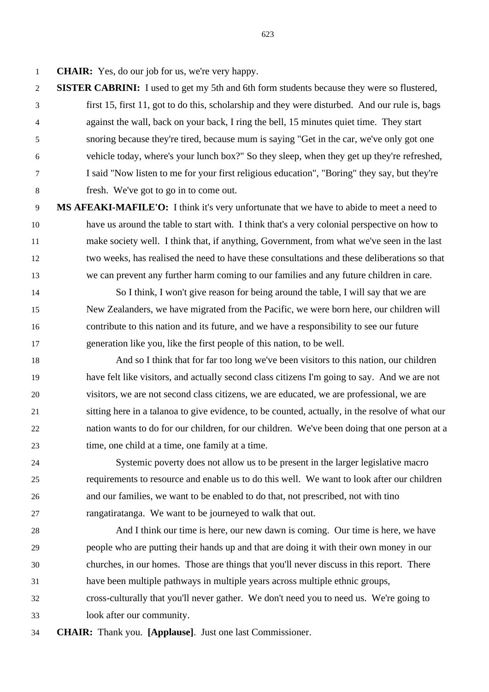**CHAIR:** Yes, do our job for us, we're very happy.

- **SISTER CABRINI:** I used to get my 5th and 6th form students because they were so flustered, first 15, first 11, got to do this, scholarship and they were disturbed. And our rule is, bags against the wall, back on your back, I ring the bell, 15 minutes quiet time. They start snoring because they're tired, because mum is saying "Get in the car, we've only got one vehicle today, where's your lunch box?" So they sleep, when they get up they're refreshed, I said "Now listen to me for your first religious education", "Boring" they say, but they're fresh. We've got to go in to come out.
- **MS AFEAKI-MAFILE'O:** I think it's very unfortunate that we have to abide to meet a need to have us around the table to start with. I think that's a very colonial perspective on how to make society well. I think that, if anything, Government, from what we've seen in the last two weeks, has realised the need to have these consultations and these deliberations so that we can prevent any further harm coming to our families and any future children in care.
- So I think, I won't give reason for being around the table, I will say that we are New Zealanders, we have migrated from the Pacific, we were born here, our children will contribute to this nation and its future, and we have a responsibility to see our future generation like you, like the first people of this nation, to be well.
- And so I think that for far too long we've been visitors to this nation, our children have felt like visitors, and actually second class citizens I'm going to say. And we are not visitors, we are not second class citizens, we are educated, we are professional, we are sitting here in a talanoa to give evidence, to be counted, actually, in the resolve of what our nation wants to do for our children, for our children. We've been doing that one person at a time, one child at a time, one family at a time.
- Systemic poverty does not allow us to be present in the larger legislative macro requirements to resource and enable us to do this well. We want to look after our children and our families, we want to be enabled to do that, not prescribed, not with tino rangatiratanga. We want to be journeyed to walk that out.
- And I think our time is here, our new dawn is coming. Our time is here, we have people who are putting their hands up and that are doing it with their own money in our churches, in our homes. Those are things that you'll never discuss in this report. There have been multiple pathways in multiple years across multiple ethnic groups, cross-culturally that you'll never gather. We don't need you to need us. We're going to look after our community.
- **CHAIR:** Thank you. **[Applause]**. Just one last Commissioner.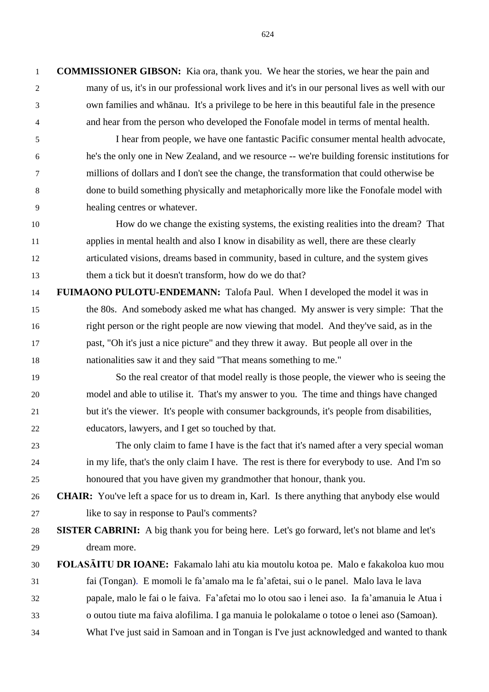**COMMISSIONER GIBSON:** Kia ora, thank you. We hear the stories, we hear the pain and many of us, it's in our professional work lives and it's in our personal lives as well with our own families and whānau. It's a privilege to be here in this beautiful fale in the presence and hear from the person who developed the Fonofale model in terms of mental health.

 I hear from people, we have one fantastic Pacific consumer mental health advocate, he's the only one in New Zealand, and we resource -- we're building forensic institutions for millions of dollars and I don't see the change, the transformation that could otherwise be done to build something physically and metaphorically more like the Fonofale model with healing centres or whatever.

 How do we change the existing systems, the existing realities into the dream? That applies in mental health and also I know in disability as well, there are these clearly articulated visions, dreams based in community, based in culture, and the system gives them a tick but it doesn't transform, how do we do that?

 **FUIMAONO PULOTU-ENDEMANN:** Talofa Paul. When I developed the model it was in the 80s. And somebody asked me what has changed. My answer is very simple: That the right person or the right people are now viewing that model. And they've said, as in the past, "Oh it's just a nice picture" and they threw it away. But people all over in the nationalities saw it and they said "That means something to me."

 So the real creator of that model really is those people, the viewer who is seeing the model and able to utilise it. That's my answer to you. The time and things have changed but it's the viewer. It's people with consumer backgrounds, it's people from disabilities, educators, lawyers, and I get so touched by that.

- The only claim to fame I have is the fact that it's named after a very special woman in my life, that's the only claim I have. The rest is there for everybody to use. And I'm so honoured that you have given my grandmother that honour, thank you.
- **CHAIR:** You've left a space for us to dream in, Karl. Is there anything that anybody else would like to say in response to Paul's comments?

 **SISTER CABRINI:** A big thank you for being here. Let's go forward, let's not blame and let's dream more.

 **FOLASĀITU DR IOANE:** Fakamalo lahi atu kia moutolu kotoa pe. Malo e fakakoloa kuo mou fai (Tongan). E momoli le fa'amalo ma le fa'afetai, sui o le panel. Malo lava le lava papale, malo le fai o le faiva. Fa'afetai mo lo otou sao i lenei aso. Ia fa'amanuia le Atua i o outou tiute ma faiva alofilima. I ga manuia le polokalame o totoe o lenei aso (Samoan). What I've just said in Samoan and in Tongan is I've just acknowledged and wanted to thank